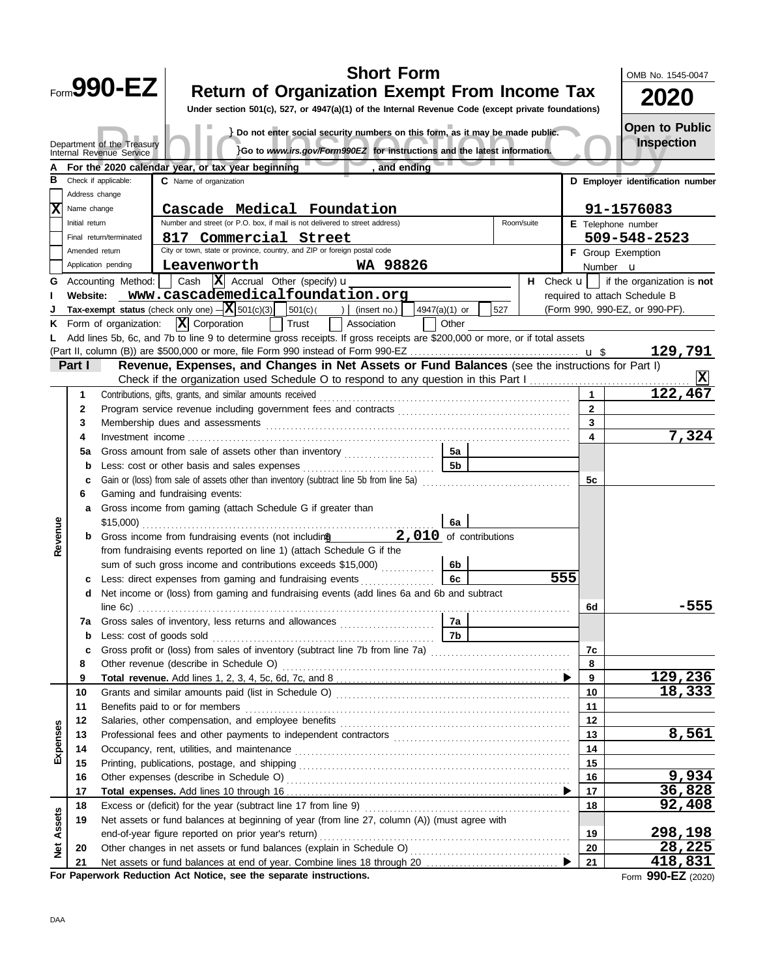|               |                 |                                                                                       |                                                                               |                                                                             |        | <b>Short Form</b>                                                                                                                                                                                                              |               |                      |     |            |                | OMB No. 1545-0047                                               |
|---------------|-----------------|---------------------------------------------------------------------------------------|-------------------------------------------------------------------------------|-----------------------------------------------------------------------------|--------|--------------------------------------------------------------------------------------------------------------------------------------------------------------------------------------------------------------------------------|---------------|----------------------|-----|------------|----------------|-----------------------------------------------------------------|
|               |                 | Form990-EZ                                                                            |                                                                               |                                                                             |        | <b>Return of Organization Exempt From Income Tax</b>                                                                                                                                                                           |               |                      |     |            |                | <b>2020</b>                                                     |
|               |                 |                                                                                       |                                                                               |                                                                             |        | Under section 501(c), 527, or 4947(a)(1) of the Internal Revenue Code (except private foundations)                                                                                                                             |               |                      |     |            |                |                                                                 |
|               |                 |                                                                                       |                                                                               |                                                                             |        |                                                                                                                                                                                                                                |               |                      |     |            |                | Open to Public                                                  |
|               |                 | Department of the Treasury                                                            |                                                                               |                                                                             |        | } Do not enter social security numbers on this form, as it may be made public.                                                                                                                                                 |               |                      |     |            |                | <b>Inspection</b>                                               |
|               |                 | Internal Revenue Service                                                              |                                                                               |                                                                             |        | }Go to www.irs.gov/Form990EZ for instructions and the latest information.                                                                                                                                                      |               |                      |     |            |                |                                                                 |
|               |                 |                                                                                       |                                                                               | For the 2020 calendar year, or tax year beginning                           |        | and ending                                                                                                                                                                                                                     |               |                      |     |            |                |                                                                 |
|               |                 | Check if applicable:                                                                  | C Name of organization                                                        |                                                                             |        |                                                                                                                                                                                                                                |               |                      |     |            |                | D Employer identification number                                |
|               | Address change  |                                                                                       |                                                                               |                                                                             |        |                                                                                                                                                                                                                                |               |                      |     |            |                |                                                                 |
|               | Name change     |                                                                                       |                                                                               | Cascade Medical Foundation                                                  |        |                                                                                                                                                                                                                                |               |                      |     |            |                | 91-1576083                                                      |
|               | Initial return  |                                                                                       |                                                                               | Number and street (or P.O. box, if mail is not delivered to street address) |        |                                                                                                                                                                                                                                |               |                      |     | Room/suite |                | E Telephone number                                              |
|               |                 | Final return/terminated                                                               |                                                                               | 817 Commercial Street                                                       |        |                                                                                                                                                                                                                                |               |                      |     |            |                | 509-548-2523                                                    |
|               | Amended return  |                                                                                       |                                                                               | City or town, state or province, country, and ZIP or foreign postal code    |        |                                                                                                                                                                                                                                |               |                      |     |            |                | <b>F</b> Group Exemption                                        |
|               |                 | Application pending                                                                   |                                                                               | Leavenworth                                                                 |        | WA 98826                                                                                                                                                                                                                       |               |                      |     |            |                | Number <b>u</b>                                                 |
| G             |                 | Accounting Method:                                                                    |                                                                               | Cash $ \mathbf{X} $ Accrual Other (specify) $\mathbf{u}$                    |        |                                                                                                                                                                                                                                |               |                      |     |            |                | <b>H</b> Check $\mathbf{u}$   if the organization is <b>not</b> |
|               | <b>Website:</b> |                                                                                       |                                                                               |                                                                             |        | www.cascademedicalfoundation.org                                                                                                                                                                                               |               |                      |     |            |                | required to attach Schedule B                                   |
|               |                 |                                                                                       |                                                                               | Tax-exempt status (check only one) $-\overline{\mathbf{X}}$ 501(c)(3)       | 501(c) | (insert no.)<br>$\rightarrow$                                                                                                                                                                                                  | 4947(a)(1) or |                      | 527 |            |                | (Form 990, 990-EZ, or 990-PF).                                  |
| Κ             |                 | Form of organization:                                                                 |                                                                               | $\overline{\mathbf{X}}$ Corporation                                         | Trust  | Association                                                                                                                                                                                                                    |               | Other                |     |            |                |                                                                 |
|               |                 |                                                                                       |                                                                               |                                                                             |        | Add lines 5b, 6c, and 7b to line 9 to determine gross receipts. If gross receipts are \$200,000 or more, or if total assets                                                                                                    |               |                      |     |            |                |                                                                 |
|               | Part I          |                                                                                       |                                                                               |                                                                             |        | Revenue, Expenses, and Changes in Net Assets or Fund Balances (see the instructions for Part I)                                                                                                                                |               |                      |     |            |                | 129,791                                                         |
|               |                 |                                                                                       |                                                                               |                                                                             |        | Check if the organization used Schedule O to respond to any question in this Part I                                                                                                                                            |               |                      |     |            |                | x                                                               |
|               | 1               |                                                                                       |                                                                               | Contributions, gifts, grants, and similar amounts received                  |        |                                                                                                                                                                                                                                |               |                      |     |            | $\mathbf 1$    | 122,467                                                         |
|               | $\mathbf{2}$    |                                                                                       |                                                                               |                                                                             |        |                                                                                                                                                                                                                                |               |                      |     |            | $\overline{2}$ |                                                                 |
|               | 3               |                                                                                       |                                                                               |                                                                             |        |                                                                                                                                                                                                                                |               |                      |     | 3          |                |                                                                 |
|               | 4               | Membership dues and assessments                                                       |                                                                               |                                                                             |        |                                                                                                                                                                                                                                |               |                      |     | 4          | 7,324          |                                                                 |
|               |                 |                                                                                       |                                                                               |                                                                             |        |                                                                                                                                                                                                                                |               |                      |     |            |                |                                                                 |
|               | 5a              |                                                                                       |                                                                               |                                                                             |        | Gross amount from sale of assets other than inventory                                                                                                                                                                          |               | 5a<br>5 <sub>b</sub> |     |            |                |                                                                 |
|               | b               |                                                                                       |                                                                               | Less: cost or other basis and sales expenses                                |        | Gain or (loss) from sale of assets other than inventory (subtract line 5b from line 5a)                                                                                                                                        |               |                      |     |            | 5c             |                                                                 |
|               | c<br>6          | Gaming and fundraising events:                                                        |                                                                               |                                                                             |        |                                                                                                                                                                                                                                |               |                      |     |            |                |                                                                 |
|               |                 |                                                                                       |                                                                               |                                                                             |        |                                                                                                                                                                                                                                |               |                      |     |            |                |                                                                 |
|               | a               |                                                                                       | Gross income from gaming (attach Schedule G if greater than<br>\$15,000<br>6a |                                                                             |        |                                                                                                                                                                                                                                |               |                      |     |            |                |                                                                 |
| Revenue       |                 | 2,010 of contributions<br>Gross income from fundraising events (not including models) |                                                                               |                                                                             |        |                                                                                                                                                                                                                                |               |                      |     |            |                |                                                                 |
|               |                 | from fundraising events reported on line 1) (attach Schedule G if the                 |                                                                               |                                                                             |        |                                                                                                                                                                                                                                |               |                      |     |            |                |                                                                 |
|               |                 |                                                                                       |                                                                               | sum of such gross income and contributions exceeds \$15,000)                |        |                                                                                                                                                                                                                                |               | 6b                   |     |            |                |                                                                 |
|               | c               |                                                                                       |                                                                               | Less: direct expenses from gaming and fundraising events                    |        |                                                                                                                                                                                                                                |               | 6с                   |     |            | 555            |                                                                 |
|               | d               |                                                                                       |                                                                               |                                                                             |        | Net income or (loss) from gaming and fundraising events (add lines 6a and 6b and subtract                                                                                                                                      |               |                      |     |            |                |                                                                 |
|               |                 | line 6c)                                                                              |                                                                               |                                                                             |        |                                                                                                                                                                                                                                |               |                      |     |            | 6d             | -555                                                            |
|               | 7a              |                                                                                       |                                                                               |                                                                             |        | Gross sales of inventory, less returns and allowances                                                                                                                                                                          |               | 7a                   |     |            |                |                                                                 |
|               | $\mathbf b$     | Less: cost of goods sold                                                              |                                                                               |                                                                             |        |                                                                                                                                                                                                                                |               | 7b                   |     |            |                |                                                                 |
|               | c               |                                                                                       |                                                                               |                                                                             |        | Gross profit or (loss) from sales of inventory (subtract line 7b from line 7a) [11] [11] Cross profit or (loss)                                                                                                                |               |                      |     |            | 7c             |                                                                 |
|               | 8               |                                                                                       |                                                                               | Other revenue (describe in Schedule O)                                      |        |                                                                                                                                                                                                                                |               |                      |     |            | 8              |                                                                 |
|               | 9               |                                                                                       |                                                                               |                                                                             |        |                                                                                                                                                                                                                                |               |                      |     |            | 9              | 129,236                                                         |
|               | 10              |                                                                                       |                                                                               |                                                                             |        |                                                                                                                                                                                                                                |               |                      |     |            | 10             | 18,333                                                          |
|               | 11              | Benefits paid to or for members                                                       |                                                                               |                                                                             |        |                                                                                                                                                                                                                                |               |                      |     |            | 11             |                                                                 |
|               | 12              |                                                                                       |                                                                               |                                                                             |        | Salaries, other compensation, and employee benefits [11] contain the container compensation, and employee benefits [11] container container container container container container container container container container co |               |                      |     |            | 12             |                                                                 |
| Expenses      | 13              |                                                                                       |                                                                               |                                                                             |        |                                                                                                                                                                                                                                |               |                      |     |            | 13             | 8,561                                                           |
|               | 14              |                                                                                       |                                                                               |                                                                             |        |                                                                                                                                                                                                                                |               |                      |     |            | 14             |                                                                 |
|               | 15              |                                                                                       |                                                                               |                                                                             |        |                                                                                                                                                                                                                                |               |                      |     |            | 15             |                                                                 |
|               | 16              |                                                                                       |                                                                               |                                                                             |        |                                                                                                                                                                                                                                |               |                      |     |            | 16             | 9,934                                                           |
|               | 17              |                                                                                       |                                                                               |                                                                             |        |                                                                                                                                                                                                                                |               |                      |     |            | 17             | 36,828                                                          |
|               | 18              |                                                                                       |                                                                               |                                                                             |        |                                                                                                                                                                                                                                |               |                      |     |            | 18             | 92,408                                                          |
| Assets        | 19              |                                                                                       |                                                                               |                                                                             |        | Net assets or fund balances at beginning of year (from line 27, column (A)) (must agree with                                                                                                                                   |               |                      |     |            |                |                                                                 |
|               |                 | end-of-year figure reported on prior year's return)                                   |                                                                               |                                                                             |        |                                                                                                                                                                                                                                |               |                      |     | 19         | 298,198        |                                                                 |
| $\frac{1}{2}$ | 20              |                                                                                       |                                                                               |                                                                             |        |                                                                                                                                                                                                                                |               |                      |     |            | 20             | 28,225                                                          |
|               | 21              |                                                                                       |                                                                               |                                                                             |        |                                                                                                                                                                                                                                |               |                      |     |            | 21             | 418,831                                                         |
|               |                 |                                                                                       |                                                                               | For Paperwork Reduction Act Notice, see the separate instructions.          |        |                                                                                                                                                                                                                                |               |                      |     |            |                | Form 990-EZ (2020)                                              |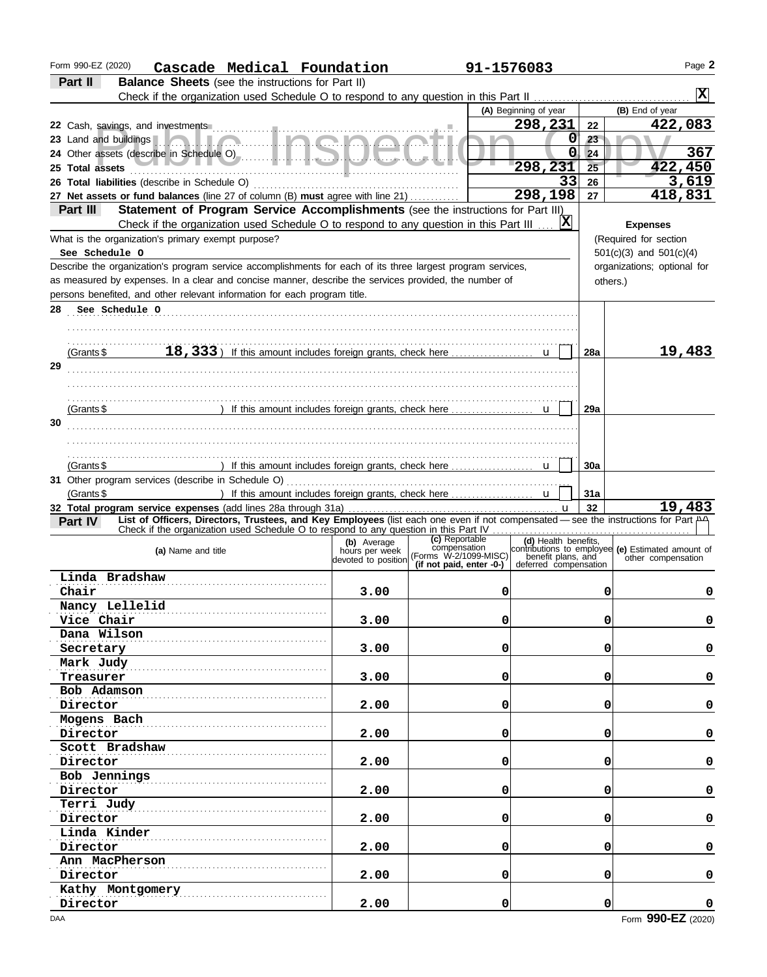| Form 990-EZ (2020)<br>Cascade Medical Foundation                                                                                                                                                                      |             | 91-1576083                                                            |                       |          | Page 2                                                                                                           |
|-----------------------------------------------------------------------------------------------------------------------------------------------------------------------------------------------------------------------|-------------|-----------------------------------------------------------------------|-----------------------|----------|------------------------------------------------------------------------------------------------------------------|
| Part II<br><b>Balance Sheets</b> (see the instructions for Part II)                                                                                                                                                   |             |                                                                       |                       |          |                                                                                                                  |
|                                                                                                                                                                                                                       |             |                                                                       |                       |          | $ {\bf x} $                                                                                                      |
|                                                                                                                                                                                                                       |             |                                                                       | (A) Beginning of year |          | (B) End of year                                                                                                  |
|                                                                                                                                                                                                                       |             |                                                                       | 298,231               | 22       | 422,083                                                                                                          |
|                                                                                                                                                                                                                       |             |                                                                       | 0                     | 23       |                                                                                                                  |
|                                                                                                                                                                                                                       |             |                                                                       | 0                     | 24       | 367                                                                                                              |
| 25 Total assets                                                                                                                                                                                                       |             |                                                                       | 298,231               | 25       | 422,450                                                                                                          |
|                                                                                                                                                                                                                       |             |                                                                       | 33                    | 26       | 3,619                                                                                                            |
| 27 Net assets or fund balances (line 27 of column (B) must agree with line 21)                                                                                                                                        |             |                                                                       | 298,198               | 27       | 418,831                                                                                                          |
| Statement of Program Service Accomplishments (see the instructions for Part III)<br>Part III                                                                                                                          |             |                                                                       |                       |          |                                                                                                                  |
| Check if the organization used Schedule O to respond to any question in this Part III                                                                                                                                 |             |                                                                       | X                     |          | <b>Expenses</b>                                                                                                  |
| What is the organization's primary exempt purpose?                                                                                                                                                                    |             |                                                                       |                       |          | (Required for section                                                                                            |
| See Schedule O                                                                                                                                                                                                        |             |                                                                       |                       |          | $501(c)(3)$ and $501(c)(4)$                                                                                      |
| Describe the organization's program service accomplishments for each of its three largest program services,                                                                                                           |             |                                                                       |                       |          | organizations; optional for                                                                                      |
| as measured by expenses. In a clear and concise manner, describe the services provided, the number of                                                                                                                 |             |                                                                       |                       | others.) |                                                                                                                  |
| persons benefited, and other relevant information for each program title.                                                                                                                                             |             |                                                                       |                       |          |                                                                                                                  |
| 28 See Schedule O                                                                                                                                                                                                     |             |                                                                       |                       |          |                                                                                                                  |
|                                                                                                                                                                                                                       |             |                                                                       |                       |          |                                                                                                                  |
|                                                                                                                                                                                                                       |             |                                                                       |                       |          |                                                                                                                  |
| 18, 333) If this amount includes foreign grants, check here<br>(Grants \$                                                                                                                                             |             |                                                                       |                       | 28a      | 19,483                                                                                                           |
| 29                                                                                                                                                                                                                    |             |                                                                       |                       |          |                                                                                                                  |
|                                                                                                                                                                                                                       |             |                                                                       |                       |          |                                                                                                                  |
|                                                                                                                                                                                                                       |             |                                                                       |                       |          |                                                                                                                  |
| (Grants \$                                                                                                                                                                                                            |             |                                                                       |                       | 29a      |                                                                                                                  |
| 30                                                                                                                                                                                                                    |             |                                                                       |                       |          |                                                                                                                  |
|                                                                                                                                                                                                                       |             |                                                                       |                       |          |                                                                                                                  |
|                                                                                                                                                                                                                       |             |                                                                       |                       |          |                                                                                                                  |
|                                                                                                                                                                                                                       |             |                                                                       |                       |          |                                                                                                                  |
| (Grants $$$                                                                                                                                                                                                           |             |                                                                       |                       | 30a      |                                                                                                                  |
|                                                                                                                                                                                                                       |             |                                                                       |                       |          |                                                                                                                  |
| (Grants $$$                                                                                                                                                                                                           |             |                                                                       |                       | 31a      | 19,483                                                                                                           |
| 32 Total program service expenses (add lines 28a through 31a)<br>List of Officers, Directors, Trustees, and Key Employees (list each one even if not compensated - see the instructions for Part A4<br><b>Part IV</b> |             |                                                                       |                       | 32       |                                                                                                                  |
|                                                                                                                                                                                                                       |             |                                                                       |                       |          |                                                                                                                  |
| (a) Name and title                                                                                                                                                                                                    | (b) Average | (c) Reportable<br>compensation                                        | (d) Health benefits,  |          |                                                                                                                  |
|                                                                                                                                                                                                                       |             | devoted to position (Forms W-2/1099-MISC)<br>(if not paid, enter -0-) | deferred compensation |          | contributions to employee (e) Estimated amount of<br>benefit plans, and other compensation<br>other compensation |
| Linda Bradshaw                                                                                                                                                                                                        |             |                                                                       |                       |          |                                                                                                                  |
| Chair                                                                                                                                                                                                                 | 3.00        | 0                                                                     |                       | U        | U                                                                                                                |
| Nancy Lellelid                                                                                                                                                                                                        |             |                                                                       |                       |          |                                                                                                                  |
| Vice Chair                                                                                                                                                                                                            | 3.00        | 0                                                                     |                       | 0        | 0                                                                                                                |
| Dana Wilson                                                                                                                                                                                                           |             |                                                                       |                       |          |                                                                                                                  |
| Secretary                                                                                                                                                                                                             | 3.00        | 0                                                                     |                       | 0        | 0                                                                                                                |
| Mark Judy                                                                                                                                                                                                             |             |                                                                       |                       |          |                                                                                                                  |
| Treasurer                                                                                                                                                                                                             | 3.00        | 0                                                                     |                       | 0        | 0                                                                                                                |
| Bob Adamson                                                                                                                                                                                                           |             |                                                                       |                       |          |                                                                                                                  |
| Director                                                                                                                                                                                                              | 2.00        | 0                                                                     |                       | 0        | $\pmb{\mathsf{O}}$                                                                                               |
| Mogens Bach                                                                                                                                                                                                           |             |                                                                       |                       |          |                                                                                                                  |
|                                                                                                                                                                                                                       | 2.00        | 0                                                                     |                       | 0        | $\pmb{\mathsf{O}}$                                                                                               |
| Director<br>Scott Bradshaw                                                                                                                                                                                            |             |                                                                       |                       |          |                                                                                                                  |
|                                                                                                                                                                                                                       |             |                                                                       |                       | 0        | $\pmb{\mathsf{O}}$                                                                                               |
| Director                                                                                                                                                                                                              | 2.00        | 0                                                                     |                       |          |                                                                                                                  |
| Bob Jennings                                                                                                                                                                                                          |             |                                                                       |                       |          |                                                                                                                  |
| Director                                                                                                                                                                                                              | 2.00        | 0                                                                     |                       | 0        | $\pmb{\mathsf{O}}$                                                                                               |
| Terri Judy                                                                                                                                                                                                            |             |                                                                       |                       |          |                                                                                                                  |
| Director                                                                                                                                                                                                              | 2.00        | 0                                                                     |                       | 0        | $\pmb{\mathsf{O}}$                                                                                               |
| Linda Kinder                                                                                                                                                                                                          |             |                                                                       |                       |          |                                                                                                                  |
| Director                                                                                                                                                                                                              | 2.00        | 0                                                                     |                       | 0        | $\pmb{\mathsf{O}}$                                                                                               |
| Ann MacPherson                                                                                                                                                                                                        |             |                                                                       |                       |          |                                                                                                                  |
| Director                                                                                                                                                                                                              | 2.00        | 0                                                                     |                       | 0        | 0                                                                                                                |
| Kathy Montgomery                                                                                                                                                                                                      |             |                                                                       |                       |          |                                                                                                                  |
| Director                                                                                                                                                                                                              | 2.00        | 0                                                                     |                       | 0        | $\mathbf 0$                                                                                                      |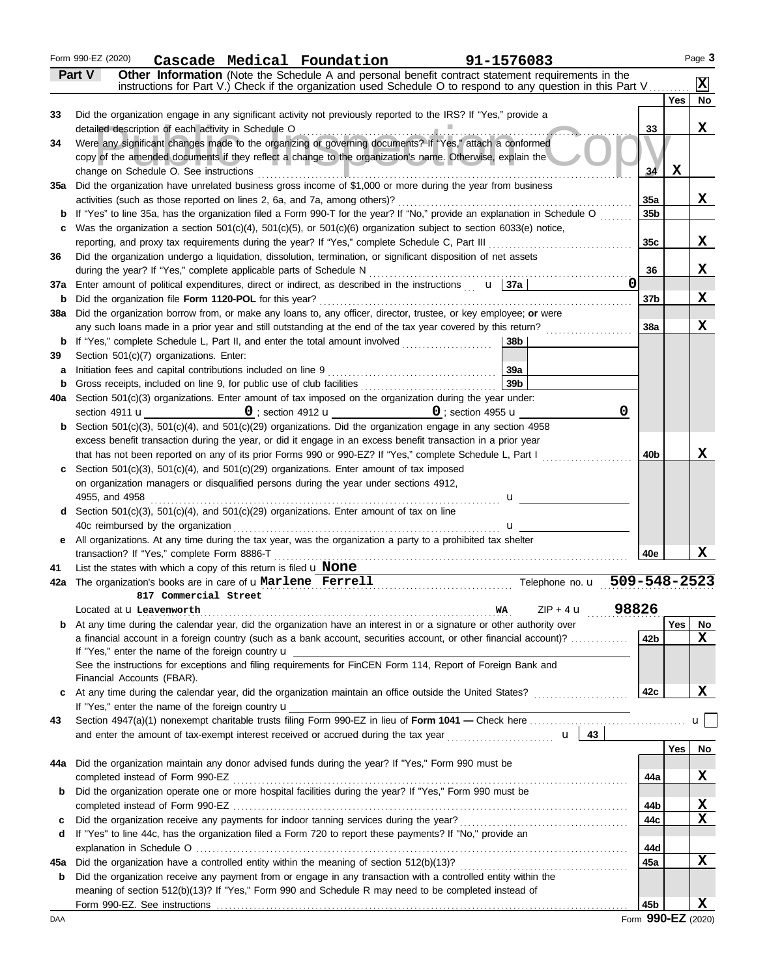### Form 990-EZ (2020) **Cascade Medical Foundation 91-1576083**

| Yes<br>Did the organization engage in any significant activity not previously reported to the IRS? If "Yes," provide a<br>33<br>X<br>detailed description of each activity in Schedule O<br>33<br>Were any significant changes made to the organizing or governing documents? If "Yes," attach a conformed<br>copy of the amended documents if they reflect a change to the organization's name. Otherwise, explain the<br>$\mathbf x$<br>change on Schedule O. See instructions<br>34<br>Did the organization have unrelated business gross income of \$1,000 or more during the year from business<br>35а<br>X<br>activities (such as those reported on lines 2, 6a, and 7a, among others)?<br>35a<br>b If "Yes" to line 35a, has the organization filed a Form 990-T for the year? If "No," provide an explanation in Schedule O<br>35 <sub>b</sub><br>Was the organization a section $501(c)(4)$ , $501(c)(5)$ , or $501(c)(6)$ organization subject to section $6033(e)$ notice,<br>c<br>X<br>reporting, and proxy tax requirements during the year? If "Yes," complete Schedule C, Part III<br>35 <sub>c</sub><br>Did the organization undergo a liquidation, dissolution, termination, or significant disposition of net assets<br>36<br>X<br>during the year? If "Yes," complete applicable parts of Schedule N<br>36<br>Enter amount of political expenditures, direct or indirect, as described in the instructions $\mathbf{u}$   37a  <br>0<br>37a<br>X<br>Did the organization file Form 1120-POL for this year?<br>37b<br>b<br>Did the organization borrow from, or make any loans to, any officer, director, trustee, or key employee; or were<br>38a<br>X<br>any such loans made in a prior year and still outstanding at the end of the tax year covered by this return?<br>38a<br>38b<br>Section 501(c)(7) organizations. Enter:<br>39a<br>Initiation fees and capital contributions included on line 9<br>a<br>39 <sub>b</sub><br>b<br>Section 501(c)(3) organizations. Enter amount of tax imposed on the organization during the year under:<br>40a<br>0<br>$0$ ; section 4955 $\mathbf u$<br>section 4911 <b>u</b><br>$\mathbf{0}$ ; section 4912 $\mathbf{u}$<br><b>b</b> Section 501(c)(3), 501(c)(4), and 501(c)(29) organizations. Did the organization engage in any section 4958<br>excess benefit transaction during the year, or did it engage in an excess benefit transaction in a prior year<br>X<br>that has not been reported on any of its prior Forms 990 or 990-EZ? If "Yes," complete Schedule L, Part I<br>40 <sub>b</sub><br>Section $501(c)(3)$ , $501(c)(4)$ , and $501(c)(29)$ organizations. Enter amount of tax imposed<br>c<br>on organization managers or disqualified persons during the year under sections 4912,<br>4955, and 4958<br>u<br><b>d</b> Section 501(c)(3), 501(c)(4), and 501(c)(29) organizations. Enter amount of tax on line<br>40c reimbursed by the organization<br>u<br>e All organizations. At any time during the tax year, was the organization a party to a prohibited tax shelter<br>X<br>transaction? If "Yes," complete Form 8886-T<br>40e<br>List the states with which a copy of this return is filed $\bf{u}$ None<br>41<br>Telephone no. u 509-548-2523<br>The organization's books are in care of <b>uMarlene</b> Ferrell<br>42a<br>817 Commercial Street<br>98826<br>$ZIP + 4$ <b>u</b><br>Located at <b>u</b> Leavenworth<br>WA<br>At any time during the calendar year, did the organization have an interest in or a signature or other authority over<br>Yes<br><b>No</b><br>b<br>X<br>a financial account in a foreign country (such as a bank account, securities account, or other financial account)?<br>42b<br>If "Yes," enter the name of the foreign country <b>u</b><br>See the instructions for exceptions and filing requirements for FinCEN Form 114, Report of Foreign Bank and<br>Financial Accounts (FBAR).<br>X<br>42c<br>c<br>If "Yes," enter the name of the foreign country <b>u</b><br>ul<br>43<br>and enter the amount of tax-exempt interest received or accrued during the tax year $\ldots$<br>Yes<br>No<br>Did the organization maintain any donor advised funds during the year? If "Yes," Form 990 must be<br>44a<br>X<br>completed instead of Form 990-EZ<br>44a<br>Did the organization operate one or more hospital facilities during the year? If "Yes," Form 990 must be<br>b<br>X<br>44b<br>X<br>44c<br>c<br>If "Yes" to line 44c, has the organization filed a Form 720 to report these payments? If "No," provide an<br>d<br>44d<br>X<br>Did the organization have a controlled entity within the meaning of section 512(b)(13)?<br>45a<br>45а<br>Did the organization receive any payment from or engage in any transaction with a controlled entity within the<br>b<br>meaning of section 512(b)(13)? If "Yes," Form 990 and Schedule R may need to be completed instead of<br>x<br>45b |    | Part V<br>Other Information (Note the Schedule A and personal benefit contract statement requirements in the<br>instructions for Part V.) Check if the organization used Schedule O to respond to any question in this Part V |  | $ \mathbf{x} $ |
|-------------------------------------------------------------------------------------------------------------------------------------------------------------------------------------------------------------------------------------------------------------------------------------------------------------------------------------------------------------------------------------------------------------------------------------------------------------------------------------------------------------------------------------------------------------------------------------------------------------------------------------------------------------------------------------------------------------------------------------------------------------------------------------------------------------------------------------------------------------------------------------------------------------------------------------------------------------------------------------------------------------------------------------------------------------------------------------------------------------------------------------------------------------------------------------------------------------------------------------------------------------------------------------------------------------------------------------------------------------------------------------------------------------------------------------------------------------------------------------------------------------------------------------------------------------------------------------------------------------------------------------------------------------------------------------------------------------------------------------------------------------------------------------------------------------------------------------------------------------------------------------------------------------------------------------------------------------------------------------------------------------------------------------------------------------------------------------------------------------------------------------------------------------------------------------------------------------------------------------------------------------------------------------------------------------------------------------------------------------------------------------------------------------------------------------------------------------------------------------------------------------------------------------------------------------------------------------------------------------------------------------------------------------------------------------------------------------------------------------------------------------------------------------------------------------------------------------------------------------------------------------------------------------------------------------------------------------------------------------------------------------------------------------------------------------------------------------------------------------------------------------------------------------------------------------------------------------------------------------------------------------------------------------------------------------------------------------------------------------------------------------------------------------------------------------------------------------------------------------------------------------------------------------------------------------------------------------------------------------------------------------------------------------------------------------------------------------------------------------------------------------------------------------------------------------------------------------------------------------------------------------------------------------------------------------------------------------------------------------------------------------------------------------------------------------------------------------------------------------------------------------------------------------------------------------------------------------------------------------------------------------------------------------------------------------------------------------------------------------------------------------------------------------------------------------------------------------------------------------------------------------------------------------------------------------------------------------------------------------------------------------------------------------------------------------------------------------------------------------------------------------------------------------------------------------------------------------------------------------------------------------------------------------------|----|-------------------------------------------------------------------------------------------------------------------------------------------------------------------------------------------------------------------------------|--|----------------|
|                                                                                                                                                                                                                                                                                                                                                                                                                                                                                                                                                                                                                                                                                                                                                                                                                                                                                                                                                                                                                                                                                                                                                                                                                                                                                                                                                                                                                                                                                                                                                                                                                                                                                                                                                                                                                                                                                                                                                                                                                                                                                                                                                                                                                                                                                                                                                                                                                                                                                                                                                                                                                                                                                                                                                                                                                                                                                                                                                                                                                                                                                                                                                                                                                                                                                                                                                                                                                                                                                                                                                                                                                                                                                                                                                                                                                                                                                                                                                                                                                                                                                                                                                                                                                                                                                                                                                                                                                                                                                                                                                                                                                                                                                                                                                                                                                                                                                                                   |    |                                                                                                                                                                                                                               |  | No             |
|                                                                                                                                                                                                                                                                                                                                                                                                                                                                                                                                                                                                                                                                                                                                                                                                                                                                                                                                                                                                                                                                                                                                                                                                                                                                                                                                                                                                                                                                                                                                                                                                                                                                                                                                                                                                                                                                                                                                                                                                                                                                                                                                                                                                                                                                                                                                                                                                                                                                                                                                                                                                                                                                                                                                                                                                                                                                                                                                                                                                                                                                                                                                                                                                                                                                                                                                                                                                                                                                                                                                                                                                                                                                                                                                                                                                                                                                                                                                                                                                                                                                                                                                                                                                                                                                                                                                                                                                                                                                                                                                                                                                                                                                                                                                                                                                                                                                                                                   |    |                                                                                                                                                                                                                               |  |                |
|                                                                                                                                                                                                                                                                                                                                                                                                                                                                                                                                                                                                                                                                                                                                                                                                                                                                                                                                                                                                                                                                                                                                                                                                                                                                                                                                                                                                                                                                                                                                                                                                                                                                                                                                                                                                                                                                                                                                                                                                                                                                                                                                                                                                                                                                                                                                                                                                                                                                                                                                                                                                                                                                                                                                                                                                                                                                                                                                                                                                                                                                                                                                                                                                                                                                                                                                                                                                                                                                                                                                                                                                                                                                                                                                                                                                                                                                                                                                                                                                                                                                                                                                                                                                                                                                                                                                                                                                                                                                                                                                                                                                                                                                                                                                                                                                                                                                                                                   |    |                                                                                                                                                                                                                               |  |                |
|                                                                                                                                                                                                                                                                                                                                                                                                                                                                                                                                                                                                                                                                                                                                                                                                                                                                                                                                                                                                                                                                                                                                                                                                                                                                                                                                                                                                                                                                                                                                                                                                                                                                                                                                                                                                                                                                                                                                                                                                                                                                                                                                                                                                                                                                                                                                                                                                                                                                                                                                                                                                                                                                                                                                                                                                                                                                                                                                                                                                                                                                                                                                                                                                                                                                                                                                                                                                                                                                                                                                                                                                                                                                                                                                                                                                                                                                                                                                                                                                                                                                                                                                                                                                                                                                                                                                                                                                                                                                                                                                                                                                                                                                                                                                                                                                                                                                                                                   | 34 |                                                                                                                                                                                                                               |  |                |
|                                                                                                                                                                                                                                                                                                                                                                                                                                                                                                                                                                                                                                                                                                                                                                                                                                                                                                                                                                                                                                                                                                                                                                                                                                                                                                                                                                                                                                                                                                                                                                                                                                                                                                                                                                                                                                                                                                                                                                                                                                                                                                                                                                                                                                                                                                                                                                                                                                                                                                                                                                                                                                                                                                                                                                                                                                                                                                                                                                                                                                                                                                                                                                                                                                                                                                                                                                                                                                                                                                                                                                                                                                                                                                                                                                                                                                                                                                                                                                                                                                                                                                                                                                                                                                                                                                                                                                                                                                                                                                                                                                                                                                                                                                                                                                                                                                                                                                                   |    |                                                                                                                                                                                                                               |  |                |
|                                                                                                                                                                                                                                                                                                                                                                                                                                                                                                                                                                                                                                                                                                                                                                                                                                                                                                                                                                                                                                                                                                                                                                                                                                                                                                                                                                                                                                                                                                                                                                                                                                                                                                                                                                                                                                                                                                                                                                                                                                                                                                                                                                                                                                                                                                                                                                                                                                                                                                                                                                                                                                                                                                                                                                                                                                                                                                                                                                                                                                                                                                                                                                                                                                                                                                                                                                                                                                                                                                                                                                                                                                                                                                                                                                                                                                                                                                                                                                                                                                                                                                                                                                                                                                                                                                                                                                                                                                                                                                                                                                                                                                                                                                                                                                                                                                                                                                                   |    |                                                                                                                                                                                                                               |  |                |
|                                                                                                                                                                                                                                                                                                                                                                                                                                                                                                                                                                                                                                                                                                                                                                                                                                                                                                                                                                                                                                                                                                                                                                                                                                                                                                                                                                                                                                                                                                                                                                                                                                                                                                                                                                                                                                                                                                                                                                                                                                                                                                                                                                                                                                                                                                                                                                                                                                                                                                                                                                                                                                                                                                                                                                                                                                                                                                                                                                                                                                                                                                                                                                                                                                                                                                                                                                                                                                                                                                                                                                                                                                                                                                                                                                                                                                                                                                                                                                                                                                                                                                                                                                                                                                                                                                                                                                                                                                                                                                                                                                                                                                                                                                                                                                                                                                                                                                                   |    |                                                                                                                                                                                                                               |  |                |
|                                                                                                                                                                                                                                                                                                                                                                                                                                                                                                                                                                                                                                                                                                                                                                                                                                                                                                                                                                                                                                                                                                                                                                                                                                                                                                                                                                                                                                                                                                                                                                                                                                                                                                                                                                                                                                                                                                                                                                                                                                                                                                                                                                                                                                                                                                                                                                                                                                                                                                                                                                                                                                                                                                                                                                                                                                                                                                                                                                                                                                                                                                                                                                                                                                                                                                                                                                                                                                                                                                                                                                                                                                                                                                                                                                                                                                                                                                                                                                                                                                                                                                                                                                                                                                                                                                                                                                                                                                                                                                                                                                                                                                                                                                                                                                                                                                                                                                                   |    |                                                                                                                                                                                                                               |  |                |
|                                                                                                                                                                                                                                                                                                                                                                                                                                                                                                                                                                                                                                                                                                                                                                                                                                                                                                                                                                                                                                                                                                                                                                                                                                                                                                                                                                                                                                                                                                                                                                                                                                                                                                                                                                                                                                                                                                                                                                                                                                                                                                                                                                                                                                                                                                                                                                                                                                                                                                                                                                                                                                                                                                                                                                                                                                                                                                                                                                                                                                                                                                                                                                                                                                                                                                                                                                                                                                                                                                                                                                                                                                                                                                                                                                                                                                                                                                                                                                                                                                                                                                                                                                                                                                                                                                                                                                                                                                                                                                                                                                                                                                                                                                                                                                                                                                                                                                                   |    |                                                                                                                                                                                                                               |  |                |
|                                                                                                                                                                                                                                                                                                                                                                                                                                                                                                                                                                                                                                                                                                                                                                                                                                                                                                                                                                                                                                                                                                                                                                                                                                                                                                                                                                                                                                                                                                                                                                                                                                                                                                                                                                                                                                                                                                                                                                                                                                                                                                                                                                                                                                                                                                                                                                                                                                                                                                                                                                                                                                                                                                                                                                                                                                                                                                                                                                                                                                                                                                                                                                                                                                                                                                                                                                                                                                                                                                                                                                                                                                                                                                                                                                                                                                                                                                                                                                                                                                                                                                                                                                                                                                                                                                                                                                                                                                                                                                                                                                                                                                                                                                                                                                                                                                                                                                                   |    |                                                                                                                                                                                                                               |  |                |
|                                                                                                                                                                                                                                                                                                                                                                                                                                                                                                                                                                                                                                                                                                                                                                                                                                                                                                                                                                                                                                                                                                                                                                                                                                                                                                                                                                                                                                                                                                                                                                                                                                                                                                                                                                                                                                                                                                                                                                                                                                                                                                                                                                                                                                                                                                                                                                                                                                                                                                                                                                                                                                                                                                                                                                                                                                                                                                                                                                                                                                                                                                                                                                                                                                                                                                                                                                                                                                                                                                                                                                                                                                                                                                                                                                                                                                                                                                                                                                                                                                                                                                                                                                                                                                                                                                                                                                                                                                                                                                                                                                                                                                                                                                                                                                                                                                                                                                                   |    |                                                                                                                                                                                                                               |  |                |
|                                                                                                                                                                                                                                                                                                                                                                                                                                                                                                                                                                                                                                                                                                                                                                                                                                                                                                                                                                                                                                                                                                                                                                                                                                                                                                                                                                                                                                                                                                                                                                                                                                                                                                                                                                                                                                                                                                                                                                                                                                                                                                                                                                                                                                                                                                                                                                                                                                                                                                                                                                                                                                                                                                                                                                                                                                                                                                                                                                                                                                                                                                                                                                                                                                                                                                                                                                                                                                                                                                                                                                                                                                                                                                                                                                                                                                                                                                                                                                                                                                                                                                                                                                                                                                                                                                                                                                                                                                                                                                                                                                                                                                                                                                                                                                                                                                                                                                                   |    |                                                                                                                                                                                                                               |  |                |
|                                                                                                                                                                                                                                                                                                                                                                                                                                                                                                                                                                                                                                                                                                                                                                                                                                                                                                                                                                                                                                                                                                                                                                                                                                                                                                                                                                                                                                                                                                                                                                                                                                                                                                                                                                                                                                                                                                                                                                                                                                                                                                                                                                                                                                                                                                                                                                                                                                                                                                                                                                                                                                                                                                                                                                                                                                                                                                                                                                                                                                                                                                                                                                                                                                                                                                                                                                                                                                                                                                                                                                                                                                                                                                                                                                                                                                                                                                                                                                                                                                                                                                                                                                                                                                                                                                                                                                                                                                                                                                                                                                                                                                                                                                                                                                                                                                                                                                                   |    |                                                                                                                                                                                                                               |  |                |
|                                                                                                                                                                                                                                                                                                                                                                                                                                                                                                                                                                                                                                                                                                                                                                                                                                                                                                                                                                                                                                                                                                                                                                                                                                                                                                                                                                                                                                                                                                                                                                                                                                                                                                                                                                                                                                                                                                                                                                                                                                                                                                                                                                                                                                                                                                                                                                                                                                                                                                                                                                                                                                                                                                                                                                                                                                                                                                                                                                                                                                                                                                                                                                                                                                                                                                                                                                                                                                                                                                                                                                                                                                                                                                                                                                                                                                                                                                                                                                                                                                                                                                                                                                                                                                                                                                                                                                                                                                                                                                                                                                                                                                                                                                                                                                                                                                                                                                                   |    |                                                                                                                                                                                                                               |  |                |
|                                                                                                                                                                                                                                                                                                                                                                                                                                                                                                                                                                                                                                                                                                                                                                                                                                                                                                                                                                                                                                                                                                                                                                                                                                                                                                                                                                                                                                                                                                                                                                                                                                                                                                                                                                                                                                                                                                                                                                                                                                                                                                                                                                                                                                                                                                                                                                                                                                                                                                                                                                                                                                                                                                                                                                                                                                                                                                                                                                                                                                                                                                                                                                                                                                                                                                                                                                                                                                                                                                                                                                                                                                                                                                                                                                                                                                                                                                                                                                                                                                                                                                                                                                                                                                                                                                                                                                                                                                                                                                                                                                                                                                                                                                                                                                                                                                                                                                                   |    |                                                                                                                                                                                                                               |  |                |
|                                                                                                                                                                                                                                                                                                                                                                                                                                                                                                                                                                                                                                                                                                                                                                                                                                                                                                                                                                                                                                                                                                                                                                                                                                                                                                                                                                                                                                                                                                                                                                                                                                                                                                                                                                                                                                                                                                                                                                                                                                                                                                                                                                                                                                                                                                                                                                                                                                                                                                                                                                                                                                                                                                                                                                                                                                                                                                                                                                                                                                                                                                                                                                                                                                                                                                                                                                                                                                                                                                                                                                                                                                                                                                                                                                                                                                                                                                                                                                                                                                                                                                                                                                                                                                                                                                                                                                                                                                                                                                                                                                                                                                                                                                                                                                                                                                                                                                                   |    |                                                                                                                                                                                                                               |  |                |
|                                                                                                                                                                                                                                                                                                                                                                                                                                                                                                                                                                                                                                                                                                                                                                                                                                                                                                                                                                                                                                                                                                                                                                                                                                                                                                                                                                                                                                                                                                                                                                                                                                                                                                                                                                                                                                                                                                                                                                                                                                                                                                                                                                                                                                                                                                                                                                                                                                                                                                                                                                                                                                                                                                                                                                                                                                                                                                                                                                                                                                                                                                                                                                                                                                                                                                                                                                                                                                                                                                                                                                                                                                                                                                                                                                                                                                                                                                                                                                                                                                                                                                                                                                                                                                                                                                                                                                                                                                                                                                                                                                                                                                                                                                                                                                                                                                                                                                                   |    |                                                                                                                                                                                                                               |  |                |
|                                                                                                                                                                                                                                                                                                                                                                                                                                                                                                                                                                                                                                                                                                                                                                                                                                                                                                                                                                                                                                                                                                                                                                                                                                                                                                                                                                                                                                                                                                                                                                                                                                                                                                                                                                                                                                                                                                                                                                                                                                                                                                                                                                                                                                                                                                                                                                                                                                                                                                                                                                                                                                                                                                                                                                                                                                                                                                                                                                                                                                                                                                                                                                                                                                                                                                                                                                                                                                                                                                                                                                                                                                                                                                                                                                                                                                                                                                                                                                                                                                                                                                                                                                                                                                                                                                                                                                                                                                                                                                                                                                                                                                                                                                                                                                                                                                                                                                                   | 39 |                                                                                                                                                                                                                               |  |                |
|                                                                                                                                                                                                                                                                                                                                                                                                                                                                                                                                                                                                                                                                                                                                                                                                                                                                                                                                                                                                                                                                                                                                                                                                                                                                                                                                                                                                                                                                                                                                                                                                                                                                                                                                                                                                                                                                                                                                                                                                                                                                                                                                                                                                                                                                                                                                                                                                                                                                                                                                                                                                                                                                                                                                                                                                                                                                                                                                                                                                                                                                                                                                                                                                                                                                                                                                                                                                                                                                                                                                                                                                                                                                                                                                                                                                                                                                                                                                                                                                                                                                                                                                                                                                                                                                                                                                                                                                                                                                                                                                                                                                                                                                                                                                                                                                                                                                                                                   |    |                                                                                                                                                                                                                               |  |                |
|                                                                                                                                                                                                                                                                                                                                                                                                                                                                                                                                                                                                                                                                                                                                                                                                                                                                                                                                                                                                                                                                                                                                                                                                                                                                                                                                                                                                                                                                                                                                                                                                                                                                                                                                                                                                                                                                                                                                                                                                                                                                                                                                                                                                                                                                                                                                                                                                                                                                                                                                                                                                                                                                                                                                                                                                                                                                                                                                                                                                                                                                                                                                                                                                                                                                                                                                                                                                                                                                                                                                                                                                                                                                                                                                                                                                                                                                                                                                                                                                                                                                                                                                                                                                                                                                                                                                                                                                                                                                                                                                                                                                                                                                                                                                                                                                                                                                                                                   |    |                                                                                                                                                                                                                               |  |                |
|                                                                                                                                                                                                                                                                                                                                                                                                                                                                                                                                                                                                                                                                                                                                                                                                                                                                                                                                                                                                                                                                                                                                                                                                                                                                                                                                                                                                                                                                                                                                                                                                                                                                                                                                                                                                                                                                                                                                                                                                                                                                                                                                                                                                                                                                                                                                                                                                                                                                                                                                                                                                                                                                                                                                                                                                                                                                                                                                                                                                                                                                                                                                                                                                                                                                                                                                                                                                                                                                                                                                                                                                                                                                                                                                                                                                                                                                                                                                                                                                                                                                                                                                                                                                                                                                                                                                                                                                                                                                                                                                                                                                                                                                                                                                                                                                                                                                                                                   |    |                                                                                                                                                                                                                               |  |                |
|                                                                                                                                                                                                                                                                                                                                                                                                                                                                                                                                                                                                                                                                                                                                                                                                                                                                                                                                                                                                                                                                                                                                                                                                                                                                                                                                                                                                                                                                                                                                                                                                                                                                                                                                                                                                                                                                                                                                                                                                                                                                                                                                                                                                                                                                                                                                                                                                                                                                                                                                                                                                                                                                                                                                                                                                                                                                                                                                                                                                                                                                                                                                                                                                                                                                                                                                                                                                                                                                                                                                                                                                                                                                                                                                                                                                                                                                                                                                                                                                                                                                                                                                                                                                                                                                                                                                                                                                                                                                                                                                                                                                                                                                                                                                                                                                                                                                                                                   |    |                                                                                                                                                                                                                               |  |                |
|                                                                                                                                                                                                                                                                                                                                                                                                                                                                                                                                                                                                                                                                                                                                                                                                                                                                                                                                                                                                                                                                                                                                                                                                                                                                                                                                                                                                                                                                                                                                                                                                                                                                                                                                                                                                                                                                                                                                                                                                                                                                                                                                                                                                                                                                                                                                                                                                                                                                                                                                                                                                                                                                                                                                                                                                                                                                                                                                                                                                                                                                                                                                                                                                                                                                                                                                                                                                                                                                                                                                                                                                                                                                                                                                                                                                                                                                                                                                                                                                                                                                                                                                                                                                                                                                                                                                                                                                                                                                                                                                                                                                                                                                                                                                                                                                                                                                                                                   |    |                                                                                                                                                                                                                               |  |                |
|                                                                                                                                                                                                                                                                                                                                                                                                                                                                                                                                                                                                                                                                                                                                                                                                                                                                                                                                                                                                                                                                                                                                                                                                                                                                                                                                                                                                                                                                                                                                                                                                                                                                                                                                                                                                                                                                                                                                                                                                                                                                                                                                                                                                                                                                                                                                                                                                                                                                                                                                                                                                                                                                                                                                                                                                                                                                                                                                                                                                                                                                                                                                                                                                                                                                                                                                                                                                                                                                                                                                                                                                                                                                                                                                                                                                                                                                                                                                                                                                                                                                                                                                                                                                                                                                                                                                                                                                                                                                                                                                                                                                                                                                                                                                                                                                                                                                                                                   |    |                                                                                                                                                                                                                               |  |                |
|                                                                                                                                                                                                                                                                                                                                                                                                                                                                                                                                                                                                                                                                                                                                                                                                                                                                                                                                                                                                                                                                                                                                                                                                                                                                                                                                                                                                                                                                                                                                                                                                                                                                                                                                                                                                                                                                                                                                                                                                                                                                                                                                                                                                                                                                                                                                                                                                                                                                                                                                                                                                                                                                                                                                                                                                                                                                                                                                                                                                                                                                                                                                                                                                                                                                                                                                                                                                                                                                                                                                                                                                                                                                                                                                                                                                                                                                                                                                                                                                                                                                                                                                                                                                                                                                                                                                                                                                                                                                                                                                                                                                                                                                                                                                                                                                                                                                                                                   |    |                                                                                                                                                                                                                               |  |                |
|                                                                                                                                                                                                                                                                                                                                                                                                                                                                                                                                                                                                                                                                                                                                                                                                                                                                                                                                                                                                                                                                                                                                                                                                                                                                                                                                                                                                                                                                                                                                                                                                                                                                                                                                                                                                                                                                                                                                                                                                                                                                                                                                                                                                                                                                                                                                                                                                                                                                                                                                                                                                                                                                                                                                                                                                                                                                                                                                                                                                                                                                                                                                                                                                                                                                                                                                                                                                                                                                                                                                                                                                                                                                                                                                                                                                                                                                                                                                                                                                                                                                                                                                                                                                                                                                                                                                                                                                                                                                                                                                                                                                                                                                                                                                                                                                                                                                                                                   |    |                                                                                                                                                                                                                               |  |                |
|                                                                                                                                                                                                                                                                                                                                                                                                                                                                                                                                                                                                                                                                                                                                                                                                                                                                                                                                                                                                                                                                                                                                                                                                                                                                                                                                                                                                                                                                                                                                                                                                                                                                                                                                                                                                                                                                                                                                                                                                                                                                                                                                                                                                                                                                                                                                                                                                                                                                                                                                                                                                                                                                                                                                                                                                                                                                                                                                                                                                                                                                                                                                                                                                                                                                                                                                                                                                                                                                                                                                                                                                                                                                                                                                                                                                                                                                                                                                                                                                                                                                                                                                                                                                                                                                                                                                                                                                                                                                                                                                                                                                                                                                                                                                                                                                                                                                                                                   |    |                                                                                                                                                                                                                               |  |                |
|                                                                                                                                                                                                                                                                                                                                                                                                                                                                                                                                                                                                                                                                                                                                                                                                                                                                                                                                                                                                                                                                                                                                                                                                                                                                                                                                                                                                                                                                                                                                                                                                                                                                                                                                                                                                                                                                                                                                                                                                                                                                                                                                                                                                                                                                                                                                                                                                                                                                                                                                                                                                                                                                                                                                                                                                                                                                                                                                                                                                                                                                                                                                                                                                                                                                                                                                                                                                                                                                                                                                                                                                                                                                                                                                                                                                                                                                                                                                                                                                                                                                                                                                                                                                                                                                                                                                                                                                                                                                                                                                                                                                                                                                                                                                                                                                                                                                                                                   |    |                                                                                                                                                                                                                               |  |                |
|                                                                                                                                                                                                                                                                                                                                                                                                                                                                                                                                                                                                                                                                                                                                                                                                                                                                                                                                                                                                                                                                                                                                                                                                                                                                                                                                                                                                                                                                                                                                                                                                                                                                                                                                                                                                                                                                                                                                                                                                                                                                                                                                                                                                                                                                                                                                                                                                                                                                                                                                                                                                                                                                                                                                                                                                                                                                                                                                                                                                                                                                                                                                                                                                                                                                                                                                                                                                                                                                                                                                                                                                                                                                                                                                                                                                                                                                                                                                                                                                                                                                                                                                                                                                                                                                                                                                                                                                                                                                                                                                                                                                                                                                                                                                                                                                                                                                                                                   |    |                                                                                                                                                                                                                               |  |                |
|                                                                                                                                                                                                                                                                                                                                                                                                                                                                                                                                                                                                                                                                                                                                                                                                                                                                                                                                                                                                                                                                                                                                                                                                                                                                                                                                                                                                                                                                                                                                                                                                                                                                                                                                                                                                                                                                                                                                                                                                                                                                                                                                                                                                                                                                                                                                                                                                                                                                                                                                                                                                                                                                                                                                                                                                                                                                                                                                                                                                                                                                                                                                                                                                                                                                                                                                                                                                                                                                                                                                                                                                                                                                                                                                                                                                                                                                                                                                                                                                                                                                                                                                                                                                                                                                                                                                                                                                                                                                                                                                                                                                                                                                                                                                                                                                                                                                                                                   |    |                                                                                                                                                                                                                               |  |                |
|                                                                                                                                                                                                                                                                                                                                                                                                                                                                                                                                                                                                                                                                                                                                                                                                                                                                                                                                                                                                                                                                                                                                                                                                                                                                                                                                                                                                                                                                                                                                                                                                                                                                                                                                                                                                                                                                                                                                                                                                                                                                                                                                                                                                                                                                                                                                                                                                                                                                                                                                                                                                                                                                                                                                                                                                                                                                                                                                                                                                                                                                                                                                                                                                                                                                                                                                                                                                                                                                                                                                                                                                                                                                                                                                                                                                                                                                                                                                                                                                                                                                                                                                                                                                                                                                                                                                                                                                                                                                                                                                                                                                                                                                                                                                                                                                                                                                                                                   |    |                                                                                                                                                                                                                               |  |                |
|                                                                                                                                                                                                                                                                                                                                                                                                                                                                                                                                                                                                                                                                                                                                                                                                                                                                                                                                                                                                                                                                                                                                                                                                                                                                                                                                                                                                                                                                                                                                                                                                                                                                                                                                                                                                                                                                                                                                                                                                                                                                                                                                                                                                                                                                                                                                                                                                                                                                                                                                                                                                                                                                                                                                                                                                                                                                                                                                                                                                                                                                                                                                                                                                                                                                                                                                                                                                                                                                                                                                                                                                                                                                                                                                                                                                                                                                                                                                                                                                                                                                                                                                                                                                                                                                                                                                                                                                                                                                                                                                                                                                                                                                                                                                                                                                                                                                                                                   |    |                                                                                                                                                                                                                               |  |                |
|                                                                                                                                                                                                                                                                                                                                                                                                                                                                                                                                                                                                                                                                                                                                                                                                                                                                                                                                                                                                                                                                                                                                                                                                                                                                                                                                                                                                                                                                                                                                                                                                                                                                                                                                                                                                                                                                                                                                                                                                                                                                                                                                                                                                                                                                                                                                                                                                                                                                                                                                                                                                                                                                                                                                                                                                                                                                                                                                                                                                                                                                                                                                                                                                                                                                                                                                                                                                                                                                                                                                                                                                                                                                                                                                                                                                                                                                                                                                                                                                                                                                                                                                                                                                                                                                                                                                                                                                                                                                                                                                                                                                                                                                                                                                                                                                                                                                                                                   |    |                                                                                                                                                                                                                               |  |                |
|                                                                                                                                                                                                                                                                                                                                                                                                                                                                                                                                                                                                                                                                                                                                                                                                                                                                                                                                                                                                                                                                                                                                                                                                                                                                                                                                                                                                                                                                                                                                                                                                                                                                                                                                                                                                                                                                                                                                                                                                                                                                                                                                                                                                                                                                                                                                                                                                                                                                                                                                                                                                                                                                                                                                                                                                                                                                                                                                                                                                                                                                                                                                                                                                                                                                                                                                                                                                                                                                                                                                                                                                                                                                                                                                                                                                                                                                                                                                                                                                                                                                                                                                                                                                                                                                                                                                                                                                                                                                                                                                                                                                                                                                                                                                                                                                                                                                                                                   |    |                                                                                                                                                                                                                               |  |                |
|                                                                                                                                                                                                                                                                                                                                                                                                                                                                                                                                                                                                                                                                                                                                                                                                                                                                                                                                                                                                                                                                                                                                                                                                                                                                                                                                                                                                                                                                                                                                                                                                                                                                                                                                                                                                                                                                                                                                                                                                                                                                                                                                                                                                                                                                                                                                                                                                                                                                                                                                                                                                                                                                                                                                                                                                                                                                                                                                                                                                                                                                                                                                                                                                                                                                                                                                                                                                                                                                                                                                                                                                                                                                                                                                                                                                                                                                                                                                                                                                                                                                                                                                                                                                                                                                                                                                                                                                                                                                                                                                                                                                                                                                                                                                                                                                                                                                                                                   |    |                                                                                                                                                                                                                               |  |                |
|                                                                                                                                                                                                                                                                                                                                                                                                                                                                                                                                                                                                                                                                                                                                                                                                                                                                                                                                                                                                                                                                                                                                                                                                                                                                                                                                                                                                                                                                                                                                                                                                                                                                                                                                                                                                                                                                                                                                                                                                                                                                                                                                                                                                                                                                                                                                                                                                                                                                                                                                                                                                                                                                                                                                                                                                                                                                                                                                                                                                                                                                                                                                                                                                                                                                                                                                                                                                                                                                                                                                                                                                                                                                                                                                                                                                                                                                                                                                                                                                                                                                                                                                                                                                                                                                                                                                                                                                                                                                                                                                                                                                                                                                                                                                                                                                                                                                                                                   |    |                                                                                                                                                                                                                               |  |                |
|                                                                                                                                                                                                                                                                                                                                                                                                                                                                                                                                                                                                                                                                                                                                                                                                                                                                                                                                                                                                                                                                                                                                                                                                                                                                                                                                                                                                                                                                                                                                                                                                                                                                                                                                                                                                                                                                                                                                                                                                                                                                                                                                                                                                                                                                                                                                                                                                                                                                                                                                                                                                                                                                                                                                                                                                                                                                                                                                                                                                                                                                                                                                                                                                                                                                                                                                                                                                                                                                                                                                                                                                                                                                                                                                                                                                                                                                                                                                                                                                                                                                                                                                                                                                                                                                                                                                                                                                                                                                                                                                                                                                                                                                                                                                                                                                                                                                                                                   |    |                                                                                                                                                                                                                               |  |                |
|                                                                                                                                                                                                                                                                                                                                                                                                                                                                                                                                                                                                                                                                                                                                                                                                                                                                                                                                                                                                                                                                                                                                                                                                                                                                                                                                                                                                                                                                                                                                                                                                                                                                                                                                                                                                                                                                                                                                                                                                                                                                                                                                                                                                                                                                                                                                                                                                                                                                                                                                                                                                                                                                                                                                                                                                                                                                                                                                                                                                                                                                                                                                                                                                                                                                                                                                                                                                                                                                                                                                                                                                                                                                                                                                                                                                                                                                                                                                                                                                                                                                                                                                                                                                                                                                                                                                                                                                                                                                                                                                                                                                                                                                                                                                                                                                                                                                                                                   |    |                                                                                                                                                                                                                               |  |                |
|                                                                                                                                                                                                                                                                                                                                                                                                                                                                                                                                                                                                                                                                                                                                                                                                                                                                                                                                                                                                                                                                                                                                                                                                                                                                                                                                                                                                                                                                                                                                                                                                                                                                                                                                                                                                                                                                                                                                                                                                                                                                                                                                                                                                                                                                                                                                                                                                                                                                                                                                                                                                                                                                                                                                                                                                                                                                                                                                                                                                                                                                                                                                                                                                                                                                                                                                                                                                                                                                                                                                                                                                                                                                                                                                                                                                                                                                                                                                                                                                                                                                                                                                                                                                                                                                                                                                                                                                                                                                                                                                                                                                                                                                                                                                                                                                                                                                                                                   |    |                                                                                                                                                                                                                               |  |                |
|                                                                                                                                                                                                                                                                                                                                                                                                                                                                                                                                                                                                                                                                                                                                                                                                                                                                                                                                                                                                                                                                                                                                                                                                                                                                                                                                                                                                                                                                                                                                                                                                                                                                                                                                                                                                                                                                                                                                                                                                                                                                                                                                                                                                                                                                                                                                                                                                                                                                                                                                                                                                                                                                                                                                                                                                                                                                                                                                                                                                                                                                                                                                                                                                                                                                                                                                                                                                                                                                                                                                                                                                                                                                                                                                                                                                                                                                                                                                                                                                                                                                                                                                                                                                                                                                                                                                                                                                                                                                                                                                                                                                                                                                                                                                                                                                                                                                                                                   |    |                                                                                                                                                                                                                               |  |                |
|                                                                                                                                                                                                                                                                                                                                                                                                                                                                                                                                                                                                                                                                                                                                                                                                                                                                                                                                                                                                                                                                                                                                                                                                                                                                                                                                                                                                                                                                                                                                                                                                                                                                                                                                                                                                                                                                                                                                                                                                                                                                                                                                                                                                                                                                                                                                                                                                                                                                                                                                                                                                                                                                                                                                                                                                                                                                                                                                                                                                                                                                                                                                                                                                                                                                                                                                                                                                                                                                                                                                                                                                                                                                                                                                                                                                                                                                                                                                                                                                                                                                                                                                                                                                                                                                                                                                                                                                                                                                                                                                                                                                                                                                                                                                                                                                                                                                                                                   |    |                                                                                                                                                                                                                               |  |                |
|                                                                                                                                                                                                                                                                                                                                                                                                                                                                                                                                                                                                                                                                                                                                                                                                                                                                                                                                                                                                                                                                                                                                                                                                                                                                                                                                                                                                                                                                                                                                                                                                                                                                                                                                                                                                                                                                                                                                                                                                                                                                                                                                                                                                                                                                                                                                                                                                                                                                                                                                                                                                                                                                                                                                                                                                                                                                                                                                                                                                                                                                                                                                                                                                                                                                                                                                                                                                                                                                                                                                                                                                                                                                                                                                                                                                                                                                                                                                                                                                                                                                                                                                                                                                                                                                                                                                                                                                                                                                                                                                                                                                                                                                                                                                                                                                                                                                                                                   |    |                                                                                                                                                                                                                               |  |                |
|                                                                                                                                                                                                                                                                                                                                                                                                                                                                                                                                                                                                                                                                                                                                                                                                                                                                                                                                                                                                                                                                                                                                                                                                                                                                                                                                                                                                                                                                                                                                                                                                                                                                                                                                                                                                                                                                                                                                                                                                                                                                                                                                                                                                                                                                                                                                                                                                                                                                                                                                                                                                                                                                                                                                                                                                                                                                                                                                                                                                                                                                                                                                                                                                                                                                                                                                                                                                                                                                                                                                                                                                                                                                                                                                                                                                                                                                                                                                                                                                                                                                                                                                                                                                                                                                                                                                                                                                                                                                                                                                                                                                                                                                                                                                                                                                                                                                                                                   |    |                                                                                                                                                                                                                               |  |                |
|                                                                                                                                                                                                                                                                                                                                                                                                                                                                                                                                                                                                                                                                                                                                                                                                                                                                                                                                                                                                                                                                                                                                                                                                                                                                                                                                                                                                                                                                                                                                                                                                                                                                                                                                                                                                                                                                                                                                                                                                                                                                                                                                                                                                                                                                                                                                                                                                                                                                                                                                                                                                                                                                                                                                                                                                                                                                                                                                                                                                                                                                                                                                                                                                                                                                                                                                                                                                                                                                                                                                                                                                                                                                                                                                                                                                                                                                                                                                                                                                                                                                                                                                                                                                                                                                                                                                                                                                                                                                                                                                                                                                                                                                                                                                                                                                                                                                                                                   |    |                                                                                                                                                                                                                               |  |                |
|                                                                                                                                                                                                                                                                                                                                                                                                                                                                                                                                                                                                                                                                                                                                                                                                                                                                                                                                                                                                                                                                                                                                                                                                                                                                                                                                                                                                                                                                                                                                                                                                                                                                                                                                                                                                                                                                                                                                                                                                                                                                                                                                                                                                                                                                                                                                                                                                                                                                                                                                                                                                                                                                                                                                                                                                                                                                                                                                                                                                                                                                                                                                                                                                                                                                                                                                                                                                                                                                                                                                                                                                                                                                                                                                                                                                                                                                                                                                                                                                                                                                                                                                                                                                                                                                                                                                                                                                                                                                                                                                                                                                                                                                                                                                                                                                                                                                                                                   |    |                                                                                                                                                                                                                               |  |                |
|                                                                                                                                                                                                                                                                                                                                                                                                                                                                                                                                                                                                                                                                                                                                                                                                                                                                                                                                                                                                                                                                                                                                                                                                                                                                                                                                                                                                                                                                                                                                                                                                                                                                                                                                                                                                                                                                                                                                                                                                                                                                                                                                                                                                                                                                                                                                                                                                                                                                                                                                                                                                                                                                                                                                                                                                                                                                                                                                                                                                                                                                                                                                                                                                                                                                                                                                                                                                                                                                                                                                                                                                                                                                                                                                                                                                                                                                                                                                                                                                                                                                                                                                                                                                                                                                                                                                                                                                                                                                                                                                                                                                                                                                                                                                                                                                                                                                                                                   |    |                                                                                                                                                                                                                               |  |                |
|                                                                                                                                                                                                                                                                                                                                                                                                                                                                                                                                                                                                                                                                                                                                                                                                                                                                                                                                                                                                                                                                                                                                                                                                                                                                                                                                                                                                                                                                                                                                                                                                                                                                                                                                                                                                                                                                                                                                                                                                                                                                                                                                                                                                                                                                                                                                                                                                                                                                                                                                                                                                                                                                                                                                                                                                                                                                                                                                                                                                                                                                                                                                                                                                                                                                                                                                                                                                                                                                                                                                                                                                                                                                                                                                                                                                                                                                                                                                                                                                                                                                                                                                                                                                                                                                                                                                                                                                                                                                                                                                                                                                                                                                                                                                                                                                                                                                                                                   |    |                                                                                                                                                                                                                               |  |                |
|                                                                                                                                                                                                                                                                                                                                                                                                                                                                                                                                                                                                                                                                                                                                                                                                                                                                                                                                                                                                                                                                                                                                                                                                                                                                                                                                                                                                                                                                                                                                                                                                                                                                                                                                                                                                                                                                                                                                                                                                                                                                                                                                                                                                                                                                                                                                                                                                                                                                                                                                                                                                                                                                                                                                                                                                                                                                                                                                                                                                                                                                                                                                                                                                                                                                                                                                                                                                                                                                                                                                                                                                                                                                                                                                                                                                                                                                                                                                                                                                                                                                                                                                                                                                                                                                                                                                                                                                                                                                                                                                                                                                                                                                                                                                                                                                                                                                                                                   |    |                                                                                                                                                                                                                               |  |                |
|                                                                                                                                                                                                                                                                                                                                                                                                                                                                                                                                                                                                                                                                                                                                                                                                                                                                                                                                                                                                                                                                                                                                                                                                                                                                                                                                                                                                                                                                                                                                                                                                                                                                                                                                                                                                                                                                                                                                                                                                                                                                                                                                                                                                                                                                                                                                                                                                                                                                                                                                                                                                                                                                                                                                                                                                                                                                                                                                                                                                                                                                                                                                                                                                                                                                                                                                                                                                                                                                                                                                                                                                                                                                                                                                                                                                                                                                                                                                                                                                                                                                                                                                                                                                                                                                                                                                                                                                                                                                                                                                                                                                                                                                                                                                                                                                                                                                                                                   |    |                                                                                                                                                                                                                               |  |                |
|                                                                                                                                                                                                                                                                                                                                                                                                                                                                                                                                                                                                                                                                                                                                                                                                                                                                                                                                                                                                                                                                                                                                                                                                                                                                                                                                                                                                                                                                                                                                                                                                                                                                                                                                                                                                                                                                                                                                                                                                                                                                                                                                                                                                                                                                                                                                                                                                                                                                                                                                                                                                                                                                                                                                                                                                                                                                                                                                                                                                                                                                                                                                                                                                                                                                                                                                                                                                                                                                                                                                                                                                                                                                                                                                                                                                                                                                                                                                                                                                                                                                                                                                                                                                                                                                                                                                                                                                                                                                                                                                                                                                                                                                                                                                                                                                                                                                                                                   |    |                                                                                                                                                                                                                               |  |                |
|                                                                                                                                                                                                                                                                                                                                                                                                                                                                                                                                                                                                                                                                                                                                                                                                                                                                                                                                                                                                                                                                                                                                                                                                                                                                                                                                                                                                                                                                                                                                                                                                                                                                                                                                                                                                                                                                                                                                                                                                                                                                                                                                                                                                                                                                                                                                                                                                                                                                                                                                                                                                                                                                                                                                                                                                                                                                                                                                                                                                                                                                                                                                                                                                                                                                                                                                                                                                                                                                                                                                                                                                                                                                                                                                                                                                                                                                                                                                                                                                                                                                                                                                                                                                                                                                                                                                                                                                                                                                                                                                                                                                                                                                                                                                                                                                                                                                                                                   |    |                                                                                                                                                                                                                               |  |                |
|                                                                                                                                                                                                                                                                                                                                                                                                                                                                                                                                                                                                                                                                                                                                                                                                                                                                                                                                                                                                                                                                                                                                                                                                                                                                                                                                                                                                                                                                                                                                                                                                                                                                                                                                                                                                                                                                                                                                                                                                                                                                                                                                                                                                                                                                                                                                                                                                                                                                                                                                                                                                                                                                                                                                                                                                                                                                                                                                                                                                                                                                                                                                                                                                                                                                                                                                                                                                                                                                                                                                                                                                                                                                                                                                                                                                                                                                                                                                                                                                                                                                                                                                                                                                                                                                                                                                                                                                                                                                                                                                                                                                                                                                                                                                                                                                                                                                                                                   |    |                                                                                                                                                                                                                               |  |                |
|                                                                                                                                                                                                                                                                                                                                                                                                                                                                                                                                                                                                                                                                                                                                                                                                                                                                                                                                                                                                                                                                                                                                                                                                                                                                                                                                                                                                                                                                                                                                                                                                                                                                                                                                                                                                                                                                                                                                                                                                                                                                                                                                                                                                                                                                                                                                                                                                                                                                                                                                                                                                                                                                                                                                                                                                                                                                                                                                                                                                                                                                                                                                                                                                                                                                                                                                                                                                                                                                                                                                                                                                                                                                                                                                                                                                                                                                                                                                                                                                                                                                                                                                                                                                                                                                                                                                                                                                                                                                                                                                                                                                                                                                                                                                                                                                                                                                                                                   |    |                                                                                                                                                                                                                               |  |                |
|                                                                                                                                                                                                                                                                                                                                                                                                                                                                                                                                                                                                                                                                                                                                                                                                                                                                                                                                                                                                                                                                                                                                                                                                                                                                                                                                                                                                                                                                                                                                                                                                                                                                                                                                                                                                                                                                                                                                                                                                                                                                                                                                                                                                                                                                                                                                                                                                                                                                                                                                                                                                                                                                                                                                                                                                                                                                                                                                                                                                                                                                                                                                                                                                                                                                                                                                                                                                                                                                                                                                                                                                                                                                                                                                                                                                                                                                                                                                                                                                                                                                                                                                                                                                                                                                                                                                                                                                                                                                                                                                                                                                                                                                                                                                                                                                                                                                                                                   |    |                                                                                                                                                                                                                               |  |                |
|                                                                                                                                                                                                                                                                                                                                                                                                                                                                                                                                                                                                                                                                                                                                                                                                                                                                                                                                                                                                                                                                                                                                                                                                                                                                                                                                                                                                                                                                                                                                                                                                                                                                                                                                                                                                                                                                                                                                                                                                                                                                                                                                                                                                                                                                                                                                                                                                                                                                                                                                                                                                                                                                                                                                                                                                                                                                                                                                                                                                                                                                                                                                                                                                                                                                                                                                                                                                                                                                                                                                                                                                                                                                                                                                                                                                                                                                                                                                                                                                                                                                                                                                                                                                                                                                                                                                                                                                                                                                                                                                                                                                                                                                                                                                                                                                                                                                                                                   |    |                                                                                                                                                                                                                               |  |                |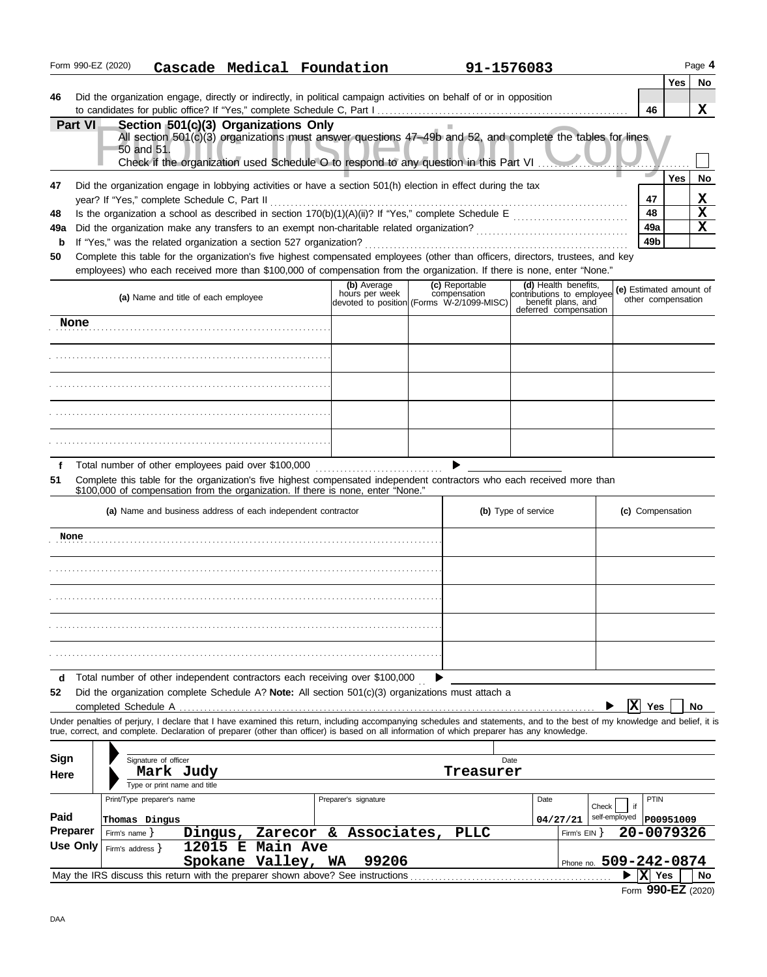|                                                                                          | Form 990-EZ (2020)                                                                                                                                                                                                                                                                                                                                   |                     |                                                              |  |                                        |  | Cascade Medical Foundation                                                                                                                                                                                                                                                                                               |             | 91-1576083                     |                                                                                                  |  |                        |            |                                               | Page 4                                             |
|------------------------------------------------------------------------------------------|------------------------------------------------------------------------------------------------------------------------------------------------------------------------------------------------------------------------------------------------------------------------------------------------------------------------------------------------------|---------------------|--------------------------------------------------------------|--|----------------------------------------|--|--------------------------------------------------------------------------------------------------------------------------------------------------------------------------------------------------------------------------------------------------------------------------------------------------------------------------|-------------|--------------------------------|--------------------------------------------------------------------------------------------------|--|------------------------|------------|-----------------------------------------------|----------------------------------------------------|
| 46                                                                                       |                                                                                                                                                                                                                                                                                                                                                      |                     |                                                              |  |                                        |  | Did the organization engage, directly or indirectly, in political campaign activities on behalf of or in opposition                                                                                                                                                                                                      |             |                                |                                                                                                  |  |                        | 46         | Yes                                           | <b>No</b><br>x                                     |
|                                                                                          | Part VI                                                                                                                                                                                                                                                                                                                                              |                     | Section 501(c)(3) Organizations Only<br>50 and 51.           |  |                                        |  | All section 501(c)(3) organizations must answer questions 47-49b and 52, and complete the tables for lines<br>Check if the organization used Schedule O to respond to any question in this Part VI                                                                                                                       |             |                                |                                                                                                  |  |                        |            |                                               |                                                    |
| 47                                                                                       |                                                                                                                                                                                                                                                                                                                                                      |                     | year? If "Yes," complete Schedule C, Part II                 |  |                                        |  | Did the organization engage in lobbying activities or have a section 501(h) election in effect during the tax                                                                                                                                                                                                            |             |                                |                                                                                                  |  |                        | 47         | <b>Yes</b>                                    | No<br>X                                            |
| 48<br>49a                                                                                |                                                                                                                                                                                                                                                                                                                                                      |                     |                                                              |  |                                        |  |                                                                                                                                                                                                                                                                                                                          |             |                                |                                                                                                  |  |                        | 48<br>49a  |                                               | $\overline{\mathbf{x}}$<br>$\overline{\mathbf{x}}$ |
| $\mathbf b$<br>50                                                                        | 49 <sub>b</sub><br>If "Yes," was the related organization a section 527 organization?<br>Complete this table for the organization's five highest compensated employees (other than officers, directors, trustees, and key<br>employees) who each received more than \$100,000 of compensation from the organization. If there is none, enter "None." |                     |                                                              |  |                                        |  |                                                                                                                                                                                                                                                                                                                          |             |                                |                                                                                                  |  |                        |            |                                               |                                                    |
|                                                                                          |                                                                                                                                                                                                                                                                                                                                                      |                     | (a) Name and title of each employee                          |  |                                        |  | (b) Average<br>hours per week<br>devoted to position (Forms W-2/1099-MISC)                                                                                                                                                                                                                                               |             | (c) Reportable<br>compensation | (d) Health benefits,<br>contributions to employee<br>penefit plans, and<br>deferred compensation |  |                        |            | (e) Estimated amount of<br>other compensation |                                                    |
|                                                                                          | None                                                                                                                                                                                                                                                                                                                                                 |                     |                                                              |  |                                        |  |                                                                                                                                                                                                                                                                                                                          |             |                                |                                                                                                  |  |                        |            |                                               |                                                    |
|                                                                                          |                                                                                                                                                                                                                                                                                                                                                      |                     |                                                              |  |                                        |  |                                                                                                                                                                                                                                                                                                                          |             |                                |                                                                                                  |  |                        |            |                                               |                                                    |
|                                                                                          |                                                                                                                                                                                                                                                                                                                                                      |                     |                                                              |  |                                        |  |                                                                                                                                                                                                                                                                                                                          |             |                                |                                                                                                  |  |                        |            |                                               |                                                    |
|                                                                                          |                                                                                                                                                                                                                                                                                                                                                      |                     |                                                              |  |                                        |  |                                                                                                                                                                                                                                                                                                                          |             |                                |                                                                                                  |  |                        |            |                                               |                                                    |
|                                                                                          |                                                                                                                                                                                                                                                                                                                                                      |                     |                                                              |  |                                        |  |                                                                                                                                                                                                                                                                                                                          |             |                                |                                                                                                  |  |                        |            |                                               |                                                    |
| f<br>51                                                                                  |                                                                                                                                                                                                                                                                                                                                                      |                     | Total number of other employees paid over \$100,000          |  |                                        |  | Complete this table for the organization's five highest compensated independent contractors who each received more than<br>\$100,000 of compensation from the organization. If there is none, enter "None."                                                                                                              |             |                                |                                                                                                  |  |                        |            |                                               |                                                    |
|                                                                                          |                                                                                                                                                                                                                                                                                                                                                      |                     | (a) Name and business address of each independent contractor |  |                                        |  |                                                                                                                                                                                                                                                                                                                          |             |                                | (b) Type of service                                                                              |  |                        |            | (c) Compensation                              |                                                    |
| None                                                                                     |                                                                                                                                                                                                                                                                                                                                                      |                     |                                                              |  |                                        |  |                                                                                                                                                                                                                                                                                                                          |             |                                |                                                                                                  |  |                        |            |                                               |                                                    |
|                                                                                          |                                                                                                                                                                                                                                                                                                                                                      |                     |                                                              |  |                                        |  |                                                                                                                                                                                                                                                                                                                          |             |                                |                                                                                                  |  |                        |            |                                               |                                                    |
|                                                                                          |                                                                                                                                                                                                                                                                                                                                                      |                     |                                                              |  |                                        |  |                                                                                                                                                                                                                                                                                                                          |             |                                |                                                                                                  |  |                        |            |                                               |                                                    |
|                                                                                          |                                                                                                                                                                                                                                                                                                                                                      |                     |                                                              |  |                                        |  |                                                                                                                                                                                                                                                                                                                          |             |                                |                                                                                                  |  |                        |            |                                               |                                                    |
|                                                                                          |                                                                                                                                                                                                                                                                                                                                                      |                     |                                                              |  |                                        |  |                                                                                                                                                                                                                                                                                                                          |             |                                |                                                                                                  |  |                        |            |                                               |                                                    |
| d<br>52                                                                                  | completed Schedule A                                                                                                                                                                                                                                                                                                                                 |                     |                                                              |  |                                        |  | Total number of other independent contractors each receiving over \$100,000<br>Did the organization complete Schedule A? Note: All section $501(c)(3)$ organizations must attach a                                                                                                                                       |             |                                |                                                                                                  |  |                        | Ιx         | Yes                                           | No                                                 |
|                                                                                          |                                                                                                                                                                                                                                                                                                                                                      |                     |                                                              |  |                                        |  | Under penalties of perjury, I declare that I have examined this return, including accompanying schedules and statements, and to the best of my knowledge and belief, it is<br>true, correct, and complete. Declaration of preparer (other than officer) is based on all information of which preparer has any knowledge. |             |                                |                                                                                                  |  |                        |            |                                               |                                                    |
| Sign                                                                                     |                                                                                                                                                                                                                                                                                                                                                      |                     | Signature of officer                                         |  |                                        |  |                                                                                                                                                                                                                                                                                                                          |             | Date                           |                                                                                                  |  |                        |            |                                               |                                                    |
| Here                                                                                     |                                                                                                                                                                                                                                                                                                                                                      |                     | Mark Judy<br>Type or print name and title                    |  |                                        |  |                                                                                                                                                                                                                                                                                                                          |             | Treasurer                      |                                                                                                  |  |                        |            |                                               |                                                    |
| Paid                                                                                     |                                                                                                                                                                                                                                                                                                                                                      |                     | Print/Type preparer's name                                   |  |                                        |  | Preparer's signature                                                                                                                                                                                                                                                                                                     |             |                                | Date                                                                                             |  | Check<br>self-employed | if         | PTIN<br>P00951009                             |                                                    |
| Thomas Dingus<br><b>Preparer</b><br>Zarecor & Associates,<br>Firm's name $\}$<br>Dinqus, |                                                                                                                                                                                                                                                                                                                                                      |                     |                                                              |  |                                        |  |                                                                                                                                                                                                                                                                                                                          | <b>PLLC</b> |                                | 04/27/21<br>Firm's EIN }                                                                         |  |                        | 20-0079326 |                                               |                                                    |
|                                                                                          | <b>Use Only</b>                                                                                                                                                                                                                                                                                                                                      | Firm's address $\}$ |                                                              |  | 12015 E Main Ave<br>Spokane Valley, WA |  | 99206                                                                                                                                                                                                                                                                                                                    |             |                                |                                                                                                  |  |                        |            | Phone no. 509-242-0874                        |                                                    |
|                                                                                          |                                                                                                                                                                                                                                                                                                                                                      |                     |                                                              |  |                                        |  | May the IRS discuss this return with the preparer shown above? See instructions                                                                                                                                                                                                                                          |             |                                |                                                                                                  |  |                        | $ X $ Yes  |                                               | <b>No</b>                                          |
|                                                                                          |                                                                                                                                                                                                                                                                                                                                                      |                     |                                                              |  |                                        |  |                                                                                                                                                                                                                                                                                                                          |             |                                |                                                                                                  |  |                        |            | Form 990-EZ (2020)                            |                                                    |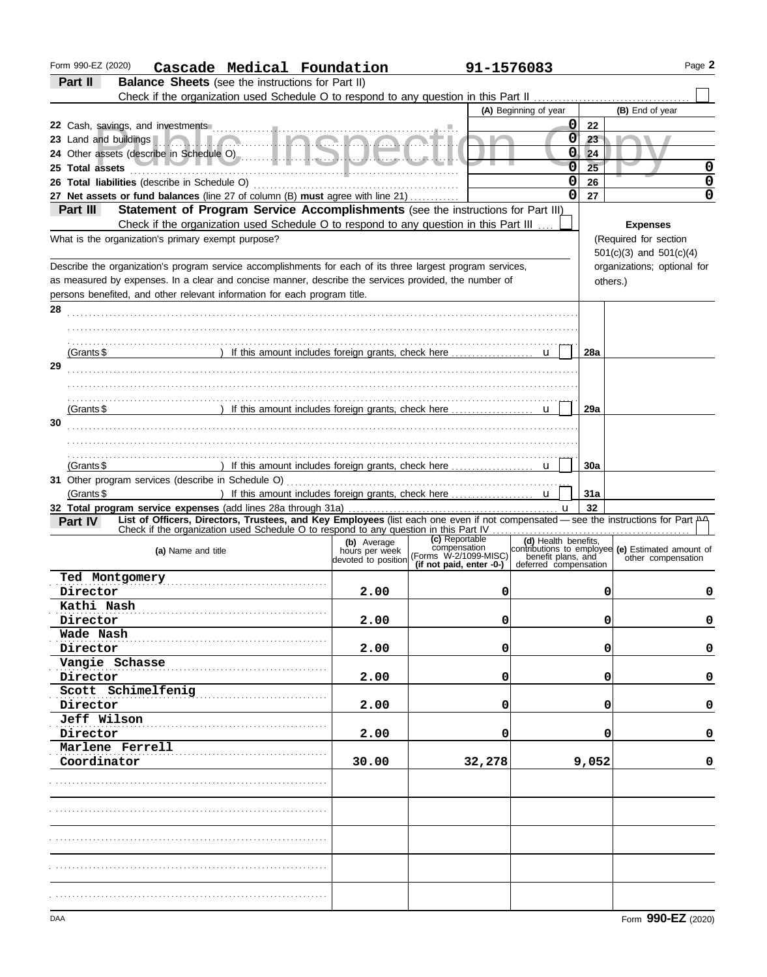| Form 990-EZ (2020)<br>Cascade Medical Foundation                                                                                              |                                       | 91-1576083                     |                       |            |                                                                                                                  | Page 2 |
|-----------------------------------------------------------------------------------------------------------------------------------------------|---------------------------------------|--------------------------------|-----------------------|------------|------------------------------------------------------------------------------------------------------------------|--------|
| Part II<br><b>Balance Sheets</b> (see the instructions for Part II)                                                                           |                                       |                                |                       |            |                                                                                                                  |        |
|                                                                                                                                               |                                       |                                |                       |            |                                                                                                                  |        |
|                                                                                                                                               |                                       |                                | (A) Beginning of year |            | (B) End of year                                                                                                  |        |
|                                                                                                                                               |                                       |                                | 0                     | 22         |                                                                                                                  |        |
| 23 Land and buildings <b>1. 2. 1. 1. 2. 1. 1. 2. 2. 1. 2. 2. 2. 2. 2.</b> 1. 1.                                                               |                                       |                                | 0                     | 23         |                                                                                                                  |        |
|                                                                                                                                               |                                       |                                | 0                     | 24         |                                                                                                                  |        |
| 25 Total assets                                                                                                                               |                                       |                                | $\overline{0}$        | 25         |                                                                                                                  | 0      |
|                                                                                                                                               |                                       |                                | 0                     | 26         |                                                                                                                  | 0      |
| 27 Net assets or fund balances (line 27 of column (B) must agree with line 21)                                                                |                                       |                                | $\mathbf 0$           | 27         |                                                                                                                  | 0      |
| Statement of Program Service Accomplishments (see the instructions for Part III)<br>Part III                                                  |                                       |                                |                       |            |                                                                                                                  |        |
| Check if the organization used Schedule O to respond to any question in this Part III                                                         |                                       |                                |                       |            | <b>Expenses</b>                                                                                                  |        |
| What is the organization's primary exempt purpose?                                                                                            |                                       |                                |                       |            | (Required for section                                                                                            |        |
|                                                                                                                                               |                                       |                                |                       |            | $501(c)(3)$ and $501(c)(4)$                                                                                      |        |
| Describe the organization's program service accomplishments for each of its three largest program services,                                   |                                       |                                |                       |            | organizations; optional for                                                                                      |        |
| as measured by expenses. In a clear and concise manner, describe the services provided, the number of                                         |                                       |                                |                       |            |                                                                                                                  |        |
|                                                                                                                                               |                                       |                                |                       |            | others.)                                                                                                         |        |
| persons benefited, and other relevant information for each program title.                                                                     |                                       |                                |                       |            |                                                                                                                  |        |
| 28                                                                                                                                            |                                       |                                |                       |            |                                                                                                                  |        |
|                                                                                                                                               |                                       |                                |                       |            |                                                                                                                  |        |
|                                                                                                                                               |                                       |                                |                       |            |                                                                                                                  |        |
| (Grants \$                                                                                                                                    |                                       |                                |                       | <b>28a</b> |                                                                                                                  |        |
| 29                                                                                                                                            |                                       |                                |                       |            |                                                                                                                  |        |
|                                                                                                                                               |                                       |                                |                       |            |                                                                                                                  |        |
|                                                                                                                                               |                                       |                                |                       |            |                                                                                                                  |        |
| (Grants \$                                                                                                                                    |                                       |                                |                       | 29a        |                                                                                                                  |        |
| 30                                                                                                                                            |                                       |                                |                       |            |                                                                                                                  |        |
|                                                                                                                                               |                                       |                                |                       |            |                                                                                                                  |        |
|                                                                                                                                               |                                       |                                |                       |            |                                                                                                                  |        |
| (Grants $$$                                                                                                                                   |                                       |                                |                       | 30a        |                                                                                                                  |        |
|                                                                                                                                               |                                       |                                |                       |            |                                                                                                                  |        |
| (Grants $$$                                                                                                                                   |                                       |                                |                       | 31a        |                                                                                                                  |        |
|                                                                                                                                               |                                       |                                |                       | 32         |                                                                                                                  |        |
| List of Officers, Directors, Trustees, and Key Employees (list each one even if not compensated - see the instructions for Part A4<br>Part IV |                                       |                                |                       |            |                                                                                                                  |        |
|                                                                                                                                               |                                       |                                |                       |            |                                                                                                                  |        |
|                                                                                                                                               | (b) Average                           | (c) Reportable<br>compensation | (d) Health benefits,  |            |                                                                                                                  |        |
| (a) Name and title                                                                                                                            | hours per week<br>devoted to position | (Forms W-2/1099-MISC)          |                       |            | contributions to employee (e) Estimated amount of<br>benefit plans, and other compensation<br>other compensation |        |
|                                                                                                                                               |                                       | (if not paid, enter -0-)       | deferred compensation |            |                                                                                                                  |        |
| Ted Montgomery                                                                                                                                |                                       |                                |                       |            |                                                                                                                  |        |
| Director                                                                                                                                      | 2.00                                  | U                              |                       | 0          |                                                                                                                  | U      |
| Kathi Nash                                                                                                                                    |                                       |                                |                       |            |                                                                                                                  |        |
| Director                                                                                                                                      | 2.00                                  | 0                              |                       | 0          |                                                                                                                  | 0      |
| Wade Nash                                                                                                                                     |                                       |                                |                       |            |                                                                                                                  |        |
| Director                                                                                                                                      | 2.00                                  | 0                              |                       | 0          |                                                                                                                  | 0      |
| Vangie Schasse                                                                                                                                |                                       |                                |                       |            |                                                                                                                  |        |
| Director                                                                                                                                      | 2.00                                  | 0                              |                       | 0          |                                                                                                                  | 0      |
| Scott Schimelfenig                                                                                                                            |                                       |                                |                       |            |                                                                                                                  |        |
| Director                                                                                                                                      | 2.00                                  | 0                              |                       | 0          |                                                                                                                  | 0      |
| Jeff Wilson                                                                                                                                   |                                       |                                |                       |            |                                                                                                                  |        |
| Director                                                                                                                                      | 2.00                                  | 0                              |                       | 0          |                                                                                                                  | 0      |
| Marlene Ferrell                                                                                                                               |                                       |                                |                       |            |                                                                                                                  |        |
| Coordinator                                                                                                                                   | 30.00                                 | 32,278                         |                       | 9,052      |                                                                                                                  | 0      |
|                                                                                                                                               |                                       |                                |                       |            |                                                                                                                  |        |
|                                                                                                                                               |                                       |                                |                       |            |                                                                                                                  |        |
|                                                                                                                                               |                                       |                                |                       |            |                                                                                                                  |        |
|                                                                                                                                               |                                       |                                |                       |            |                                                                                                                  |        |
|                                                                                                                                               |                                       |                                |                       |            |                                                                                                                  |        |
|                                                                                                                                               |                                       |                                |                       |            |                                                                                                                  |        |
|                                                                                                                                               |                                       |                                |                       |            |                                                                                                                  |        |
|                                                                                                                                               |                                       |                                |                       |            |                                                                                                                  |        |
|                                                                                                                                               |                                       |                                |                       |            |                                                                                                                  |        |
|                                                                                                                                               |                                       |                                |                       |            |                                                                                                                  |        |
|                                                                                                                                               |                                       |                                |                       |            |                                                                                                                  |        |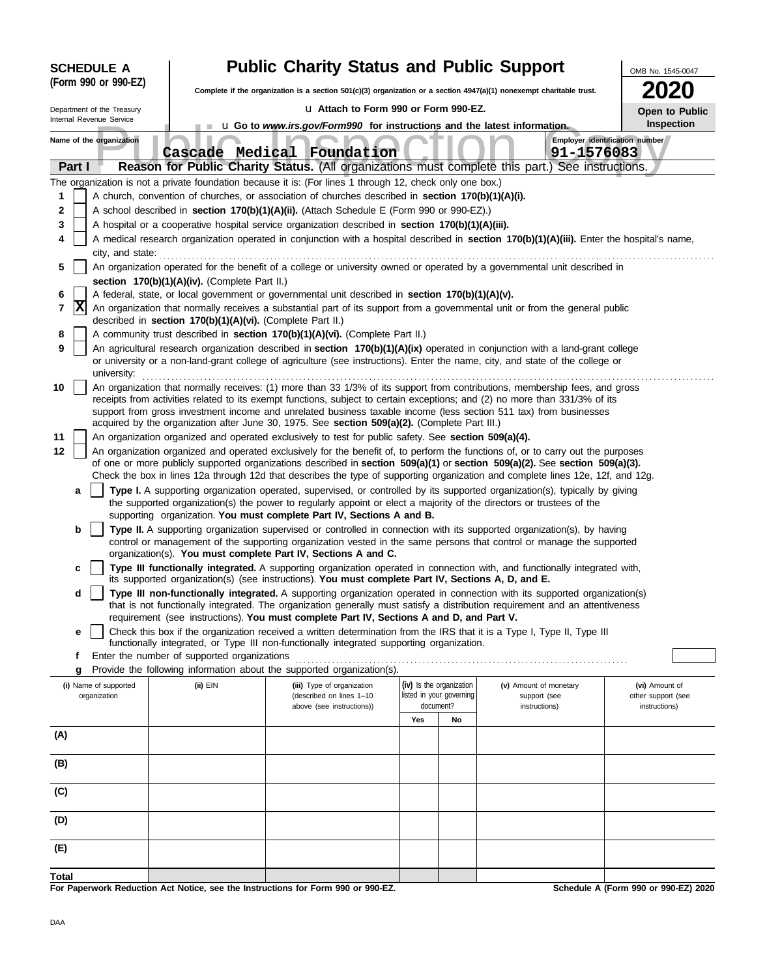| <b>SCHEDULE A</b>        |        |                                                                                                                                                                                                                                                                                                                                                   |  | <b>Public Charity Status and Public Support</b>                                                                          |                                                                                                                                                                                                                 |     |                          | OMB No. 1545-0047                                                                                                                                                                                                                                                      |                                      |  |  |  |
|--------------------------|--------|---------------------------------------------------------------------------------------------------------------------------------------------------------------------------------------------------------------------------------------------------------------------------------------------------------------------------------------------------|--|--------------------------------------------------------------------------------------------------------------------------|-----------------------------------------------------------------------------------------------------------------------------------------------------------------------------------------------------------------|-----|--------------------------|------------------------------------------------------------------------------------------------------------------------------------------------------------------------------------------------------------------------------------------------------------------------|--------------------------------------|--|--|--|
|                          |        | (Form 990 or 990-EZ)                                                                                                                                                                                                                                                                                                                              |  | Complete if the organization is a section $501(c)(3)$ organization or a section $4947(a)(1)$ nonexempt charitable trust. |                                                                                                                                                                                                                 |     |                          |                                                                                                                                                                                                                                                                        |                                      |  |  |  |
|                          |        | Department of the Treasury                                                                                                                                                                                                                                                                                                                        |  |                                                                                                                          | La Attach to Form 990 or Form 990-EZ.                                                                                                                                                                           |     |                          |                                                                                                                                                                                                                                                                        | Open to Public                       |  |  |  |
| Internal Revenue Service |        |                                                                                                                                                                                                                                                                                                                                                   |  | u Go to www.irs.gov/Form990 for instructions and the latest information.                                                 | <b>Inspection</b>                                                                                                                                                                                               |     |                          |                                                                                                                                                                                                                                                                        |                                      |  |  |  |
|                          |        | Name of the organization                                                                                                                                                                                                                                                                                                                          |  |                                                                                                                          | Cascade Medical Foundation                                                                                                                                                                                      |     |                          | Employer identification number<br>91-1576083                                                                                                                                                                                                                           |                                      |  |  |  |
|                          | Part I |                                                                                                                                                                                                                                                                                                                                                   |  |                                                                                                                          |                                                                                                                                                                                                                 |     |                          | Reason for Public Charity Status. (All organizations must complete this part.) See instructions.                                                                                                                                                                       |                                      |  |  |  |
| 1                        |        |                                                                                                                                                                                                                                                                                                                                                   |  |                                                                                                                          | The organization is not a private foundation because it is: (For lines 1 through 12, check only one box.)<br>A church, convention of churches, or association of churches described in section 170(b)(1)(A)(i). |     |                          |                                                                                                                                                                                                                                                                        |                                      |  |  |  |
| 2                        |        |                                                                                                                                                                                                                                                                                                                                                   |  |                                                                                                                          | A school described in section 170(b)(1)(A)(ii). (Attach Schedule E (Form 990 or 990-EZ).)                                                                                                                       |     |                          |                                                                                                                                                                                                                                                                        |                                      |  |  |  |
| 3                        |        |                                                                                                                                                                                                                                                                                                                                                   |  |                                                                                                                          | A hospital or a cooperative hospital service organization described in section 170(b)(1)(A)(iii).                                                                                                               |     |                          |                                                                                                                                                                                                                                                                        |                                      |  |  |  |
| 4                        |        |                                                                                                                                                                                                                                                                                                                                                   |  |                                                                                                                          |                                                                                                                                                                                                                 |     |                          | A medical research organization operated in conjunction with a hospital described in section 170(b)(1)(A)(iii). Enter the hospital's name,                                                                                                                             |                                      |  |  |  |
|                          |        | city, and state:                                                                                                                                                                                                                                                                                                                                  |  |                                                                                                                          |                                                                                                                                                                                                                 |     |                          |                                                                                                                                                                                                                                                                        |                                      |  |  |  |
| 5                        |        |                                                                                                                                                                                                                                                                                                                                                   |  |                                                                                                                          |                                                                                                                                                                                                                 |     |                          | An organization operated for the benefit of a college or university owned or operated by a governmental unit described in                                                                                                                                              |                                      |  |  |  |
|                          |        |                                                                                                                                                                                                                                                                                                                                                   |  | section 170(b)(1)(A)(iv). (Complete Part II.)                                                                            |                                                                                                                                                                                                                 |     |                          |                                                                                                                                                                                                                                                                        |                                      |  |  |  |
| 6<br>7                   | x      |                                                                                                                                                                                                                                                                                                                                                   |  |                                                                                                                          | A federal, state, or local government or governmental unit described in section 170(b)(1)(A)(v).                                                                                                                |     |                          | An organization that normally receives a substantial part of its support from a governmental unit or from the general public                                                                                                                                           |                                      |  |  |  |
|                          |        |                                                                                                                                                                                                                                                                                                                                                   |  | described in section 170(b)(1)(A)(vi). (Complete Part II.)                                                               |                                                                                                                                                                                                                 |     |                          |                                                                                                                                                                                                                                                                        |                                      |  |  |  |
| 8                        |        |                                                                                                                                                                                                                                                                                                                                                   |  |                                                                                                                          | A community trust described in section 170(b)(1)(A)(vi). (Complete Part II.)                                                                                                                                    |     |                          |                                                                                                                                                                                                                                                                        |                                      |  |  |  |
| 9                        |        | university:                                                                                                                                                                                                                                                                                                                                       |  |                                                                                                                          |                                                                                                                                                                                                                 |     |                          | An agricultural research organization described in section 170(b)(1)(A)(ix) operated in conjunction with a land-grant college<br>or university or a non-land-grant college of agriculture (see instructions). Enter the name, city, and state of the college or        |                                      |  |  |  |
| 10                       |        |                                                                                                                                                                                                                                                                                                                                                   |  |                                                                                                                          |                                                                                                                                                                                                                 |     |                          | An organization that normally receives: (1) more than 33 1/3% of its support from contributions, membership fees, and gross                                                                                                                                            |                                      |  |  |  |
|                          |        | receipts from activities related to its exempt functions, subject to certain exceptions; and (2) no more than 331/3% of its<br>support from gross investment income and unrelated business taxable income (less section 511 tax) from businesses<br>acquired by the organization after June 30, 1975. See section 509(a)(2). (Complete Part III.) |  |                                                                                                                          |                                                                                                                                                                                                                 |     |                          |                                                                                                                                                                                                                                                                        |                                      |  |  |  |
| 11                       |        |                                                                                                                                                                                                                                                                                                                                                   |  |                                                                                                                          | An organization organized and operated exclusively to test for public safety. See section 509(a)(4).                                                                                                            |     |                          |                                                                                                                                                                                                                                                                        |                                      |  |  |  |
| 12                       |        |                                                                                                                                                                                                                                                                                                                                                   |  |                                                                                                                          |                                                                                                                                                                                                                 |     |                          | An organization organized and operated exclusively for the benefit of, to perform the functions of, or to carry out the purposes                                                                                                                                       |                                      |  |  |  |
|                          |        |                                                                                                                                                                                                                                                                                                                                                   |  |                                                                                                                          |                                                                                                                                                                                                                 |     |                          | of one or more publicly supported organizations described in section $509(a)(1)$ or section $509(a)(2)$ . See section $509(a)(3)$ .<br>Check the box in lines 12a through 12d that describes the type of supporting organization and complete lines 12e, 12f, and 12g. |                                      |  |  |  |
|                          | a      |                                                                                                                                                                                                                                                                                                                                                   |  |                                                                                                                          | the supported organization(s) the power to regularly appoint or elect a majority of the directors or trustees of the                                                                                            |     |                          | Type I. A supporting organization operated, supervised, or controlled by its supported organization(s), typically by giving                                                                                                                                            |                                      |  |  |  |
|                          |        |                                                                                                                                                                                                                                                                                                                                                   |  |                                                                                                                          | supporting organization. You must complete Part IV, Sections A and B.                                                                                                                                           |     |                          |                                                                                                                                                                                                                                                                        |                                      |  |  |  |
|                          | b      |                                                                                                                                                                                                                                                                                                                                                   |  |                                                                                                                          |                                                                                                                                                                                                                 |     |                          | Type II. A supporting organization supervised or controlled in connection with its supported organization(s), by having<br>control or management of the supporting organization vested in the same persons that control or manage the supported                        |                                      |  |  |  |
|                          |        |                                                                                                                                                                                                                                                                                                                                                   |  |                                                                                                                          | organization(s). You must complete Part IV, Sections A and C.                                                                                                                                                   |     |                          |                                                                                                                                                                                                                                                                        |                                      |  |  |  |
|                          | c      |                                                                                                                                                                                                                                                                                                                                                   |  |                                                                                                                          | its supported organization(s) (see instructions). You must complete Part IV, Sections A, D, and E.                                                                                                              |     |                          | Type III functionally integrated. A supporting organization operated in connection with, and functionally integrated with,                                                                                                                                             |                                      |  |  |  |
|                          | d      |                                                                                                                                                                                                                                                                                                                                                   |  |                                                                                                                          |                                                                                                                                                                                                                 |     |                          | Type III non-functionally integrated. A supporting organization operated in connection with its supported organization(s)<br>that is not functionally integrated. The organization generally must satisfy a distribution requirement and an attentiveness              |                                      |  |  |  |
|                          |        |                                                                                                                                                                                                                                                                                                                                                   |  |                                                                                                                          | requirement (see instructions). You must complete Part IV, Sections A and D, and Part V.                                                                                                                        |     |                          |                                                                                                                                                                                                                                                                        |                                      |  |  |  |
|                          | е      |                                                                                                                                                                                                                                                                                                                                                   |  |                                                                                                                          | functionally integrated, or Type III non-functionally integrated supporting organization.                                                                                                                       |     |                          | Check this box if the organization received a written determination from the IRS that it is a Type I, Type II, Type III                                                                                                                                                |                                      |  |  |  |
|                          | f<br>g |                                                                                                                                                                                                                                                                                                                                                   |  | Enter the number of supported organizations                                                                              | Provide the following information about the supported organization(s).                                                                                                                                          |     |                          |                                                                                                                                                                                                                                                                        |                                      |  |  |  |
|                          |        | (i) Name of supported                                                                                                                                                                                                                                                                                                                             |  | (ii) EIN                                                                                                                 | (iii) Type of organization                                                                                                                                                                                      |     | (iv) Is the organization | (v) Amount of monetary                                                                                                                                                                                                                                                 | (vi) Amount of                       |  |  |  |
|                          |        | organization                                                                                                                                                                                                                                                                                                                                      |  |                                                                                                                          | (described on lines 1-10                                                                                                                                                                                        |     | listed in your governing | support (see                                                                                                                                                                                                                                                           | other support (see                   |  |  |  |
|                          |        |                                                                                                                                                                                                                                                                                                                                                   |  |                                                                                                                          | above (see instructions))                                                                                                                                                                                       | Yes | document?<br>No          | instructions)                                                                                                                                                                                                                                                          | instructions)                        |  |  |  |
| (A)                      |        |                                                                                                                                                                                                                                                                                                                                                   |  |                                                                                                                          |                                                                                                                                                                                                                 |     |                          |                                                                                                                                                                                                                                                                        |                                      |  |  |  |
|                          |        |                                                                                                                                                                                                                                                                                                                                                   |  |                                                                                                                          |                                                                                                                                                                                                                 |     |                          |                                                                                                                                                                                                                                                                        |                                      |  |  |  |
| (B)                      |        |                                                                                                                                                                                                                                                                                                                                                   |  |                                                                                                                          |                                                                                                                                                                                                                 |     |                          |                                                                                                                                                                                                                                                                        |                                      |  |  |  |
| (C)                      |        |                                                                                                                                                                                                                                                                                                                                                   |  |                                                                                                                          |                                                                                                                                                                                                                 |     |                          |                                                                                                                                                                                                                                                                        |                                      |  |  |  |
| (D)                      |        |                                                                                                                                                                                                                                                                                                                                                   |  |                                                                                                                          |                                                                                                                                                                                                                 |     |                          |                                                                                                                                                                                                                                                                        |                                      |  |  |  |
| (E)                      |        |                                                                                                                                                                                                                                                                                                                                                   |  |                                                                                                                          |                                                                                                                                                                                                                 |     |                          |                                                                                                                                                                                                                                                                        |                                      |  |  |  |
| Total                    |        |                                                                                                                                                                                                                                                                                                                                                   |  |                                                                                                                          |                                                                                                                                                                                                                 |     |                          |                                                                                                                                                                                                                                                                        |                                      |  |  |  |
|                          |        |                                                                                                                                                                                                                                                                                                                                                   |  |                                                                                                                          | For Paperwork Reduction Act Notice, see the Instructions for Form 990 or 990-EZ.                                                                                                                                |     |                          |                                                                                                                                                                                                                                                                        | Schedule A (Form 990 or 990-EZ) 2020 |  |  |  |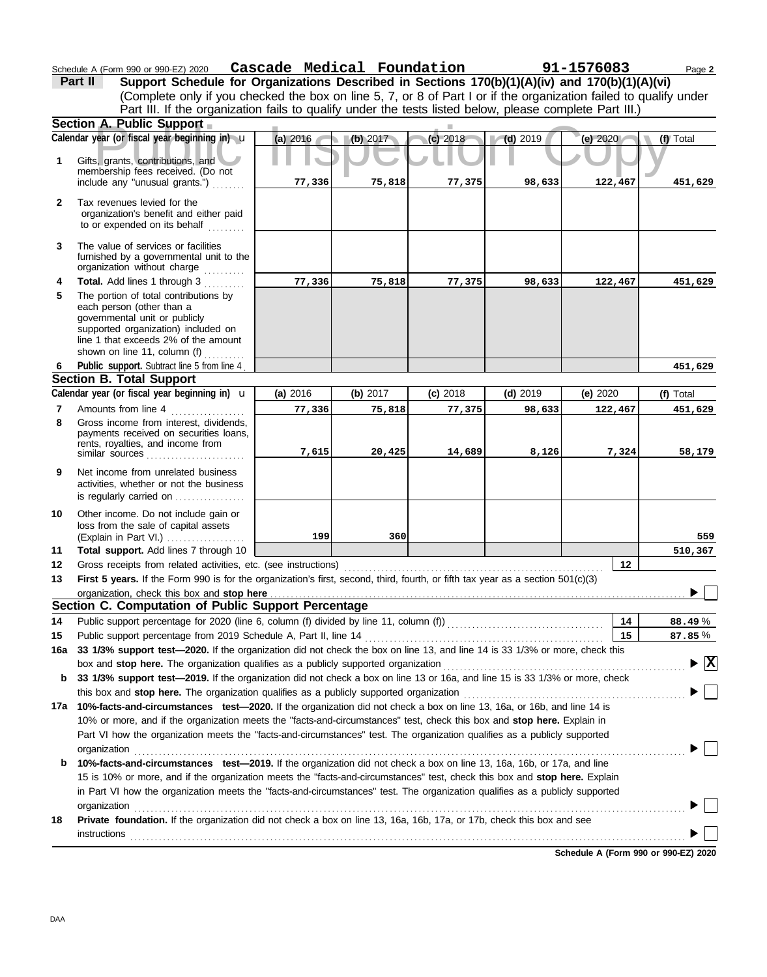Schedule A (Form 990 or 990-EZ) 2020 Page **2 Cascade Medical Foundation 91-1576083**

**77,336 75,818 77,375 98,633 122,467 451,629**

**510,367**

|              | Part II<br>Support Schedule for Organizations Described in Sections 170(b)(1)(A)(iv) and 170(b)(1)(A)(vi)<br>(Complete only if you checked the box on line 5, 7, or 8 of Part I or if the organization failed to qualify under |          |          |            |            |          |           |  |  |  |  |
|--------------|--------------------------------------------------------------------------------------------------------------------------------------------------------------------------------------------------------------------------------|----------|----------|------------|------------|----------|-----------|--|--|--|--|
|              | Part III. If the organization fails to qualify under the tests listed below, please complete Part III.)<br><b>Section A. Public Support</b>                                                                                    |          |          |            |            |          |           |  |  |  |  |
|              | Calendar year (or fiscal year beginning in) $\mathbf u$                                                                                                                                                                        | (a) 2016 | (b) 2017 | $(c)$ 2018 | (d) $2019$ | (e) 2020 | (f) Total |  |  |  |  |
|              | Gifts, grants, contributions, and<br>membership fees received. (Do not<br>include any "unusual grants.")                                                                                                                       | 77,336   | 75,818   | 77,375     | 98,633     | 122,467  | 451,629   |  |  |  |  |
| $\mathbf{2}$ | Tax revenues levied for the<br>organization's benefit and either paid<br>to or expended on its behalf                                                                                                                          |          |          |            |            |          |           |  |  |  |  |
|              | The value of services or facilities                                                                                                                                                                                            |          |          |            |            |          |           |  |  |  |  |

|    | furnished by a governmental unit to the |
|----|-----------------------------------------|
|    | organization without charge             |
| 4  | <b>Total.</b> Add lines 1 through 3     |
| 5. | The nortion of total contributions by   |

| 5 | The portion of total contributions by |
|---|---------------------------------------|
|   | each person (other than a             |
|   | governmental unit or publicly         |
|   | supported organization) included on   |
|   | line 1 that exceeds 2% of the amount  |
|   | shown on line 11, column (f)          |

**Total support.** Add lines 7 through 10

#### (Explain in Part VI.) . . . . . . . . . . . . . . . . . . . loss from the sale of capital assets Other income. Do not include gain or is regularly carried on ................. activities, whether or not the business Net income from unrelated business rents, royalties, and income from payments received on securities loans, Gross income from interest, dividends, Amounts from line 4 shown on line 11, column (i) ...........<br>Public support. Subtract line 5 from line 4. **9 8 6 Section B. Total Support 7** similar sources . . . . . . . . . . . . . **10 Calendar year (or fiscal year beginning in) (f)** Total **(a)** 2016 u **(b)** 2017 **(c)** 2018 **(d)** 2019 **(e)** 2020 **451,629 77,336 75,818 77,375 98,633 122,467 451,629 7,615 20,425 14,689 8,126 7,324 58,179 199 360 559**

| 12 | Gross receipts from related activities, etc. (see instructions) |  |
|----|-----------------------------------------------------------------|--|
|    |                                                                 |  |

**First 5 years.** If the Form 990 is for the organization's first, second, third, fourth, or fifth tax year as a section 501(c)(3) **13**

|     | organization, check this box and stop here <b>construct the construct of the construct of the construct of the construct of the construct of the construct of the construct of the construct of the construction of the construc</b> |                                                                                                                             |           |  |  |  |  |  |  |  |
|-----|--------------------------------------------------------------------------------------------------------------------------------------------------------------------------------------------------------------------------------------|-----------------------------------------------------------------------------------------------------------------------------|-----------|--|--|--|--|--|--|--|
|     | Section C. Computation of Public Support Percentage                                                                                                                                                                                  |                                                                                                                             |           |  |  |  |  |  |  |  |
| 14  | Public support percentage for 2020 (line 6, column (f) divided by line 11, column (f) [[[[[[[[[[[[[[[[[[[[[[[                                                                                                                        | 14                                                                                                                          | 88.49%    |  |  |  |  |  |  |  |
| 15  | Public support percentage from 2019 Schedule A, Part II, line 14                                                                                                                                                                     | 15                                                                                                                          | $87.85\%$ |  |  |  |  |  |  |  |
| 16a | 33 1/3% support test—2020. If the organization did not check the box on line 13, and line 14 is 33 1/3% or more, check this                                                                                                          |                                                                                                                             |           |  |  |  |  |  |  |  |
|     | $\blacktriangleright \boxed{\text{X}}$<br>box and <b>stop here.</b> The organization qualifies as a publicly supported organization                                                                                                  |                                                                                                                             |           |  |  |  |  |  |  |  |
| b   |                                                                                                                                                                                                                                      | 33 1/3% support test—2019. If the organization did not check a box on line 13 or 16a, and line 15 is 33 1/3% or more, check |           |  |  |  |  |  |  |  |
|     | this box and <b>stop here.</b> The organization qualifies as a publicly supported organization                                                                                                                                       |                                                                                                                             |           |  |  |  |  |  |  |  |
| 17a | 10%-facts-and-circumstances test-2020. If the organization did not check a box on line 13, 16a, or 16b, and line 14 is                                                                                                               |                                                                                                                             |           |  |  |  |  |  |  |  |
|     | 10% or more, and if the organization meets the "facts-and-circumstances" test, check this box and <b>stop here.</b> Explain in                                                                                                       |                                                                                                                             |           |  |  |  |  |  |  |  |
|     | Part VI how the organization meets the "facts-and-circumstances" test. The organization qualifies as a publicly supported                                                                                                            |                                                                                                                             |           |  |  |  |  |  |  |  |
|     | organization                                                                                                                                                                                                                         |                                                                                                                             |           |  |  |  |  |  |  |  |
| b   | 10%-facts-and-circumstances test-2019. If the organization did not check a box on line 13, 16a, 16b, or 17a, and line                                                                                                                |                                                                                                                             |           |  |  |  |  |  |  |  |
|     | 15 is 10% or more, and if the organization meets the "facts-and-circumstances" test, check this box and <b>stop here.</b> Explain                                                                                                    |                                                                                                                             |           |  |  |  |  |  |  |  |
|     | in Part VI how the organization meets the "facts-and-circumstances" test. The organization qualifies as a publicly supported                                                                                                         |                                                                                                                             |           |  |  |  |  |  |  |  |
|     | organization                                                                                                                                                                                                                         |                                                                                                                             |           |  |  |  |  |  |  |  |
| 18  | <b>Private foundation.</b> If the organization did not check a box on line 13, 16a, 16b, 17a, or 17b, check this box and see                                                                                                         |                                                                                                                             |           |  |  |  |  |  |  |  |
|     | instructions                                                                                                                                                                                                                         |                                                                                                                             |           |  |  |  |  |  |  |  |
|     |                                                                                                                                                                                                                                      |                                                                                                                             |           |  |  |  |  |  |  |  |

**Schedule A (Form 990 or 990-EZ) 2020**

**11**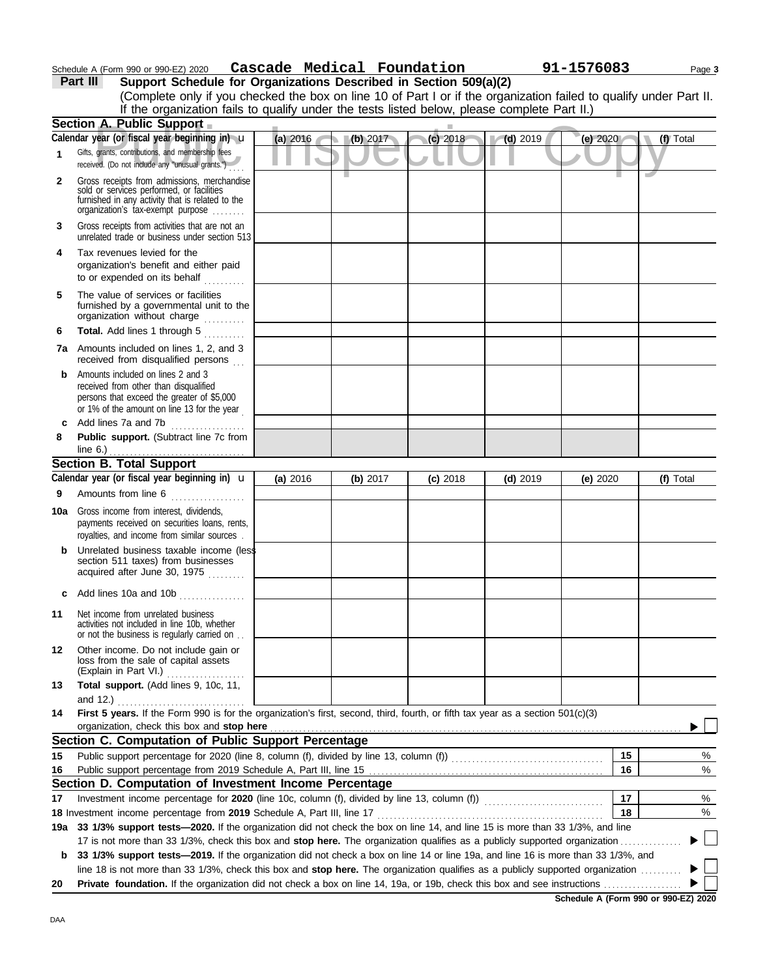| Schedule A (Form 990 or 990-EZ) 2020 | Cascade | Medical Foundation | 91-1576083 | Page 3 |
|--------------------------------------|---------|--------------------|------------|--------|
|                                      |         |                    |            |        |

**Part III Support Schedule for Organizations Described in Section 509(a)(2)**

|              | (Complete only if you checked the box on line 10 of Part I or if the organization failed to qualify under Part II.<br>If the organization fails to qualify under the tests listed below, please complete Part II.)                                                   |          |          |            |            |            |           |
|--------------|----------------------------------------------------------------------------------------------------------------------------------------------------------------------------------------------------------------------------------------------------------------------|----------|----------|------------|------------|------------|-----------|
|              | <b>Section A. Public Support</b>                                                                                                                                                                                                                                     |          |          |            |            |            |           |
|              | Calendar year (or fiscal year beginning in) u                                                                                                                                                                                                                        | (a) 2016 | (b) 2017 | $(c)$ 2018 | $(d)$ 2019 | (e) 2020   | (f) Total |
| $\mathbf{1}$ | Gifts, grants, contributions, and membership fees<br>received. (Do not include any "unusual grants.")                                                                                                                                                                |          |          |            |            |            |           |
| $\mathbf{2}$ | Gross receipts from admissions, merchandise<br>sold or services performed, or facilities<br>furnished in any activity that is related to the<br>organization's tax-exempt purpose                                                                                    |          |          |            |            |            |           |
| 3            | Gross receipts from activities that are not an<br>unrelated trade or business under section 513                                                                                                                                                                      |          |          |            |            |            |           |
| 4            | Tax revenues levied for the<br>organization's benefit and either paid<br>to or expended on its behalf<br>.                                                                                                                                                           |          |          |            |            |            |           |
| 5            | The value of services or facilities<br>furnished by a governmental unit to the<br>organization without charge<br>in de la cala                                                                                                                                       |          |          |            |            |            |           |
| 6            | Total. Add lines 1 through 5                                                                                                                                                                                                                                         |          |          |            |            |            |           |
|              | <b>7a</b> Amounts included on lines 1, 2, and 3<br>received from disqualified persons                                                                                                                                                                                |          |          |            |            |            |           |
| b            | Amounts included on lines 2 and 3<br>received from other than disqualified<br>persons that exceed the greater of \$5,000<br>or 1% of the amount on line 13 for the year                                                                                              |          |          |            |            |            |           |
| C            | Add lines 7a and 7b<br>.                                                                                                                                                                                                                                             |          |          |            |            |            |           |
| 8            | Public support. (Subtract line 7c from<br>line 6.) $\ldots$ $\ldots$ $\ldots$ $\ldots$ $\ldots$ $\ldots$ $\ldots$ $\ldots$                                                                                                                                           |          |          |            |            |            |           |
|              | <b>Section B. Total Support</b>                                                                                                                                                                                                                                      |          |          |            |            |            |           |
|              | Calendar year (or fiscal year beginning in) $\mathbf u$                                                                                                                                                                                                              | (a) 2016 | (b) 2017 | $(c)$ 2018 | $(d)$ 2019 | (e) $2020$ | (f) Total |
| 9            | Amounts from line 6                                                                                                                                                                                                                                                  |          |          |            |            |            |           |
| 10a          | Gross income from interest, dividends,<br>payments received on securities loans, rents,<br>royalties, and income from similar sources.                                                                                                                               |          |          |            |            |            |           |
| b            | Unrelated business taxable income (less<br>section 511 taxes) from businesses<br>acquired after June 30, 1975                                                                                                                                                        |          |          |            |            |            |           |
| C            | Add lines 10a and 10b                                                                                                                                                                                                                                                |          |          |            |            |            |           |
| 11           | Net income from unrelated business<br>activities not included in line 10b, whether<br>or not the business is regularly carried on                                                                                                                                    |          |          |            |            |            |           |
| 12           | Other income. Do not include gain or<br>loss from the sale of capital assets<br>(Explain in Part VI.)                                                                                                                                                                |          |          |            |            |            |           |
| 13           | Total support. (Add lines 9, 10c, 11,                                                                                                                                                                                                                                |          |          |            |            |            |           |
|              | and 12.)                                                                                                                                                                                                                                                             |          |          |            |            |            |           |
| 14           | First 5 years. If the Form 990 is for the organization's first, second, third, fourth, or fifth tax year as a section 501(c)(3)<br>organization, check this box and stop here                                                                                        |          |          |            |            |            |           |
|              | Section C. Computation of Public Support Percentage                                                                                                                                                                                                                  |          |          |            |            |            |           |
| 15           |                                                                                                                                                                                                                                                                      |          |          |            |            | 15         | %         |
| 16           |                                                                                                                                                                                                                                                                      |          |          |            |            | 16         | $\%$      |
|              | Section D. Computation of Investment Income Percentage                                                                                                                                                                                                               |          |          |            |            |            |           |
| 17           |                                                                                                                                                                                                                                                                      |          |          |            |            | 17         | %         |
|              | 18 Investment income percentage from 2019 Schedule A, Part III, line 17 <b>Construent in the State of August</b> 18                                                                                                                                                  |          |          |            |            | 18         | %         |
|              | 19a 33 1/3% support tests-2020. If the organization did not check the box on line 14, and line 15 is more than 33 1/3%, and line                                                                                                                                     |          |          |            |            |            |           |
|              | 17 is not more than 33 1/3%, check this box and stop here. The organization qualifies as a publicly supported organization                                                                                                                                           |          |          |            |            |            |           |
| b            | 33 1/3% support tests-2019. If the organization did not check a box on line 14 or line 19a, and line 16 is more than 33 1/3%, and<br>line 18 is not more than 33 1/3%, check this box and stop here. The organization qualifies as a publicly supported organization |          |          |            |            |            |           |
| 20           |                                                                                                                                                                                                                                                                      |          |          |            |            |            |           |

**Schedule A (Form 990 or 990-EZ) 2020**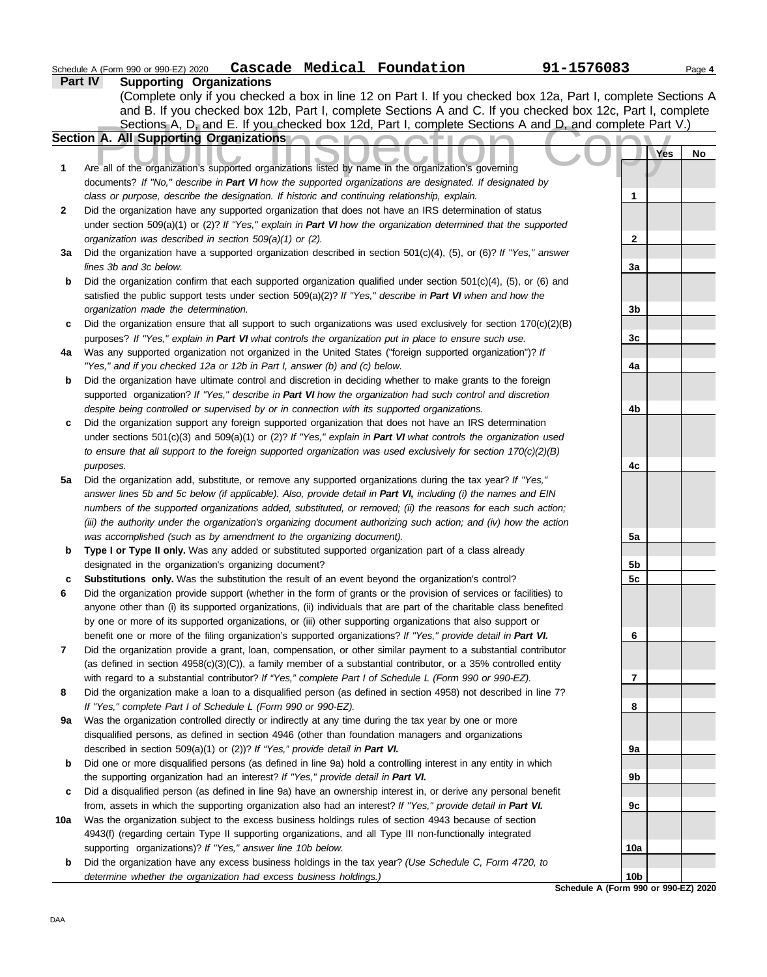| Schedule A (Form 990 or 990-EZ) 2020 | Cascade Medical Foundation | 91-1576083 | Page 4 |
|--------------------------------------|----------------------------|------------|--------|
|                                      |                            |            |        |

|     | <b>Part IV</b><br><b>Supporting Organizations</b>                                                                                                                                                                                  |                 |     |    |
|-----|------------------------------------------------------------------------------------------------------------------------------------------------------------------------------------------------------------------------------------|-----------------|-----|----|
|     | (Complete only if you checked a box in line 12 on Part I. If you checked box 12a, Part I, complete Sections A                                                                                                                      |                 |     |    |
|     | and B. If you checked box 12b, Part I, complete Sections A and C. If you checked box 12c, Part I, complete                                                                                                                         |                 |     |    |
|     | Sections A, D, and E. If you checked box 12d, Part I, complete Sections A and D, and complete Part V.)                                                                                                                             |                 |     |    |
|     | Section A. All Supporting Organizations<br>e n                                                                                                                                                                                     |                 |     |    |
|     |                                                                                                                                                                                                                                    |                 | Yes | No |
| 1   | Are all of the organization's supported organizations listed by name in the organization's governing                                                                                                                               |                 |     |    |
|     | documents? If "No," describe in Part VI how the supported organizations are designated. If designated by                                                                                                                           |                 |     |    |
|     | class or purpose, describe the designation. If historic and continuing relationship, explain.                                                                                                                                      | 1               |     |    |
| 2   | Did the organization have any supported organization that does not have an IRS determination of status                                                                                                                             |                 |     |    |
|     | under section 509(a)(1) or (2)? If "Yes," explain in Part VI how the organization determined that the supported                                                                                                                    |                 |     |    |
|     | organization was described in section 509(a)(1) or (2).                                                                                                                                                                            | 2               |     |    |
| За  | Did the organization have a supported organization described in section $501(c)(4)$ , (5), or (6)? If "Yes," answer                                                                                                                |                 |     |    |
|     | lines 3b and 3c below.                                                                                                                                                                                                             | 3a              |     |    |
| b   | Did the organization confirm that each supported organization qualified under section $501(c)(4)$ , (5), or (6) and                                                                                                                |                 |     |    |
|     | satisfied the public support tests under section 509(a)(2)? If "Yes," describe in Part VI when and how the                                                                                                                         |                 |     |    |
|     | organization made the determination.                                                                                                                                                                                               | 3b              |     |    |
| c   | Did the organization ensure that all support to such organizations was used exclusively for section $170(c)(2)(B)$                                                                                                                 |                 |     |    |
|     | purposes? If "Yes," explain in Part VI what controls the organization put in place to ensure such use.                                                                                                                             | 3c              |     |    |
| 4a  | Was any supported organization not organized in the United States ("foreign supported organization")? If                                                                                                                           |                 |     |    |
|     | "Yes," and if you checked 12a or 12b in Part I, answer (b) and (c) below.                                                                                                                                                          | 4a              |     |    |
| b   | Did the organization have ultimate control and discretion in deciding whether to make grants to the foreign                                                                                                                        |                 |     |    |
|     | supported organization? If "Yes," describe in Part VI how the organization had such control and discretion                                                                                                                         |                 |     |    |
|     | despite being controlled or supervised by or in connection with its supported organizations.                                                                                                                                       | 4b              |     |    |
| с   | Did the organization support any foreign supported organization that does not have an IRS determination                                                                                                                            |                 |     |    |
|     | under sections $501(c)(3)$ and $509(a)(1)$ or $(2)$ ? If "Yes," explain in Part VI what controls the organization used                                                                                                             |                 |     |    |
|     | to ensure that all support to the foreign supported organization was used exclusively for section $170(c)(2)(B)$                                                                                                                   |                 |     |    |
|     | purposes.                                                                                                                                                                                                                          | 4с              |     |    |
| 5a  | Did the organization add, substitute, or remove any supported organizations during the tax year? If "Yes,"                                                                                                                         |                 |     |    |
|     | answer lines 5b and 5c below (if applicable). Also, provide detail in Part VI, including (i) the names and EIN                                                                                                                     |                 |     |    |
|     | numbers of the supported organizations added, substituted, or removed; (ii) the reasons for each such action;<br>(iii) the authority under the organization's organizing document authorizing such action; and (iv) how the action |                 |     |    |
|     | was accomplished (such as by amendment to the organizing document).                                                                                                                                                                | 5a              |     |    |
| b   | Type I or Type II only. Was any added or substituted supported organization part of a class already                                                                                                                                |                 |     |    |
|     | designated in the organization's organizing document?                                                                                                                                                                              | 5b              |     |    |
| c   | Substitutions only. Was the substitution the result of an event beyond the organization's control?                                                                                                                                 | 5c              |     |    |
| 6   | Did the organization provide support (whether in the form of grants or the provision of services or facilities) to                                                                                                                 |                 |     |    |
|     | anyone other than (i) its supported organizations, (ii) individuals that are part of the charitable class benefited                                                                                                                |                 |     |    |
|     | by one or more of its supported organizations, or (iii) other supporting organizations that also support or                                                                                                                        |                 |     |    |
|     | benefit one or more of the filing organization's supported organizations? If "Yes," provide detail in Part VI.                                                                                                                     | 6               |     |    |
| 7   | Did the organization provide a grant, loan, compensation, or other similar payment to a substantial contributor                                                                                                                    |                 |     |    |
|     | (as defined in section $4958(c)(3)(C)$ ), a family member of a substantial contributor, or a 35% controlled entity                                                                                                                 |                 |     |    |
|     | with regard to a substantial contributor? If "Yes," complete Part I of Schedule L (Form 990 or 990-EZ).                                                                                                                            | 7               |     |    |
| 8   | Did the organization make a loan to a disqualified person (as defined in section 4958) not described in line 7?                                                                                                                    |                 |     |    |
|     | If "Yes," complete Part I of Schedule L (Form 990 or 990-EZ).                                                                                                                                                                      | 8               |     |    |
| 9a  | Was the organization controlled directly or indirectly at any time during the tax year by one or more                                                                                                                              |                 |     |    |
|     | disqualified persons, as defined in section 4946 (other than foundation managers and organizations                                                                                                                                 |                 |     |    |
|     | described in section 509(a)(1) or (2))? If "Yes," provide detail in Part VI.                                                                                                                                                       | 9a              |     |    |
| b   | Did one or more disqualified persons (as defined in line 9a) hold a controlling interest in any entity in which                                                                                                                    |                 |     |    |
|     | the supporting organization had an interest? If "Yes," provide detail in Part VI.                                                                                                                                                  | 9b              |     |    |
| c   | Did a disqualified person (as defined in line 9a) have an ownership interest in, or derive any personal benefit                                                                                                                    |                 |     |    |
|     | from, assets in which the supporting organization also had an interest? If "Yes," provide detail in Part VI.                                                                                                                       | 9c              |     |    |
| 10a | Was the organization subject to the excess business holdings rules of section 4943 because of section                                                                                                                              |                 |     |    |
|     | 4943(f) (regarding certain Type II supporting organizations, and all Type III non-functionally integrated                                                                                                                          |                 |     |    |
|     | supporting organizations)? If "Yes," answer line 10b below.                                                                                                                                                                        | 10a             |     |    |
| b   | Did the organization have any excess business holdings in the tax year? (Use Schedule C, Form 4720, to                                                                                                                             | 10 <sub>b</sub> |     |    |
|     | determine whether the organization had excess business holdings.)<br>Schedule A (Form 990 or 990-EZ) 2020                                                                                                                          |                 |     |    |
|     |                                                                                                                                                                                                                                    |                 |     |    |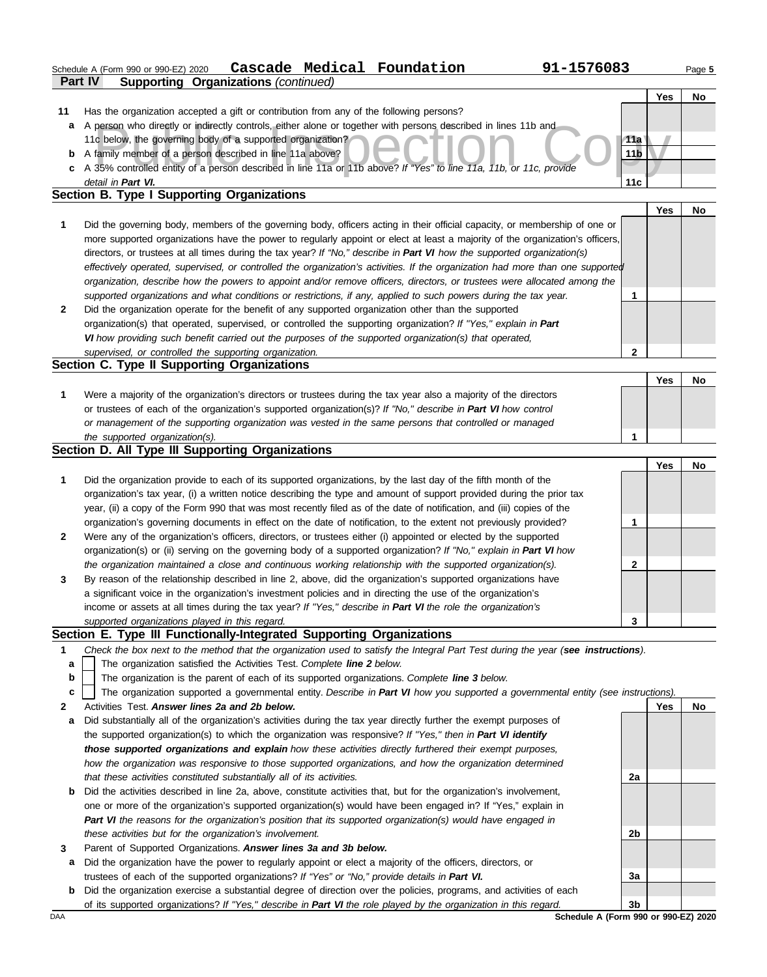|              | Cascade Medical Foundation<br>91-1576083<br>Schedule A (Form 990 or 990-EZ) 2020                                               |                 |            | Page 5 |
|--------------|--------------------------------------------------------------------------------------------------------------------------------|-----------------|------------|--------|
|              | <b>Supporting Organizations (continued)</b><br><b>Part IV</b>                                                                  |                 | Yes        | No     |
| 11           | Has the organization accepted a gift or contribution from any of the following persons?                                        |                 |            |        |
| a            | A person who directly or indirectly controls, either alone or together with persons described in lines 11b and                 |                 |            |        |
|              | 11c below, the governing body of a supported organization?                                                                     | 11a             |            |        |
| b            | A family member of a person described in line 11a above?                                                                       | 11 <sub>b</sub> |            |        |
| c            | A 35% controlled entity of a person described in line 11a or 11b above? If "Yes" to line 11a, 11b, or 11c, provide             |                 |            |        |
|              | detail in Part VI.                                                                                                             | 11c             |            |        |
|              | Section B. Type I Supporting Organizations                                                                                     |                 |            |        |
|              |                                                                                                                                |                 | <b>Yes</b> | No     |
| 1            | Did the governing body, members of the governing body, officers acting in their official capacity, or membership of one or     |                 |            |        |
|              | more supported organizations have the power to regularly appoint or elect at least a majority of the organization's officers,  |                 |            |        |
|              | directors, or trustees at all times during the tax year? If "No," describe in Part VI how the supported organization(s)        |                 |            |        |
|              | effectively operated, supervised, or controlled the organization's activities. If the organization had more than one supported |                 |            |        |
|              | organization, describe how the powers to appoint and/or remove officers, directors, or trustees were allocated among the       |                 |            |        |
|              | supported organizations and what conditions or restrictions, if any, applied to such powers during the tax year.               | 1               |            |        |
| $\mathbf{2}$ | Did the organization operate for the benefit of any supported organization other than the supported                            |                 |            |        |
|              | organization(s) that operated, supervised, or controlled the supporting organization? If "Yes," explain in Part                |                 |            |        |
|              | VI how providing such benefit carried out the purposes of the supported organization(s) that operated,                         |                 |            |        |
|              | supervised, or controlled the supporting organization.                                                                         | $\mathbf{2}$    |            |        |
|              | Section C. Type II Supporting Organizations                                                                                    |                 |            |        |
|              |                                                                                                                                |                 | Yes        | No     |
| 1            | Were a majority of the organization's directors or trustees during the tax year also a majority of the directors               |                 |            |        |
|              | or trustees of each of the organization's supported organization(s)? If "No," describe in Part VI how control                  |                 |            |        |
|              | or management of the supporting organization was vested in the same persons that controlled or managed                         |                 |            |        |
|              | the supported organization(s).                                                                                                 | 1               |            |        |
|              | Section D. All Type III Supporting Organizations                                                                               |                 |            |        |
|              |                                                                                                                                |                 | Yes        | No     |
| 1            | Did the organization provide to each of its supported organizations, by the last day of the fifth month of the                 |                 |            |        |
|              | organization's tax year, (i) a written notice describing the type and amount of support provided during the prior tax          |                 |            |        |
|              | year, (ii) a copy of the Form 990 that was most recently filed as of the date of notification, and (iii) copies of the         |                 |            |        |
|              | organization's governing documents in effect on the date of notification, to the extent not previously provided?               | 1               |            |        |
| $\mathbf{2}$ | Were any of the organization's officers, directors, or trustees either (i) appointed or elected by the supported               |                 |            |        |
|              | organization(s) or (ii) serving on the governing body of a supported organization? If "No," explain in Part VI how             |                 |            |        |
|              | the organization maintained a close and continuous working relationship with the supported organization(s).                    | $\mathbf{2}$    |            |        |
| 3            | By reason of the relationship described in line 2, above, did the organization's supported organizations have                  |                 |            |        |
|              | a significant voice in the organization's investment policies and in directing the use of the organization's                   |                 |            |        |
|              | income or assets at all times during the tax year? If "Yes," describe in Part VI the role the organization's                   |                 |            |        |
|              | supported organizations played in this regard.                                                                                 | 3               |            |        |
|              | Section E. Type III Functionally-Integrated Supporting Organizations                                                           |                 |            |        |

- **1** *Check the box next to the method that the organization used to satisfy the Integral Part Test during the year (see instructions).*
	- The organization satisfied the Activities Test. *Complete line 2 below.* **a**
	- The organization is the parent of each of its supported organizations. *Complete line 3 below.* **b**
	- The organization supported a governmental entity. *Describe in Part VI how you supported a governmental entity (see instructions).* **c**
- **2** Activities Test. *Answer lines 2a and 2b below.*
- **a** Did substantially all of the organization's activities during the tax year directly further the exempt purposes of the supported organization(s) to which the organization was responsive? *If "Yes," then in Part VI identify those supported organizations and explain how these activities directly furthered their exempt purposes, how the organization was responsive to those supported organizations, and how the organization determined that these activities constituted substantially all of its activities.*
- **b** Did the activities described in line 2a, above, constitute activities that, but for the organization's involvement, one or more of the organization's supported organization(s) would have been engaged in? If "Yes," explain in *Part VI the reasons for the organization's position that its supported organization(s) would have engaged in these activities but for the organization's involvement.*
- **3** Parent of Supported Organizations. *Answer lines 3a and 3b below.*
	- **a** Did the organization have the power to regularly appoint or elect a majority of the officers, directors, or trustees of each of the supported organizations? *If "Yes" or "No," provide details in Part VI.*
- **b** Did the organization exercise a substantial degree of direction over the policies, programs, and activities of each of its supported organizations? *If "Yes," describe in Part VI the role played by the organization in this regard.*

DAA **Schedule A (Form 990 or 990-EZ) 2020 3b**

**2a**

**2b**

**3a**

**Yes No**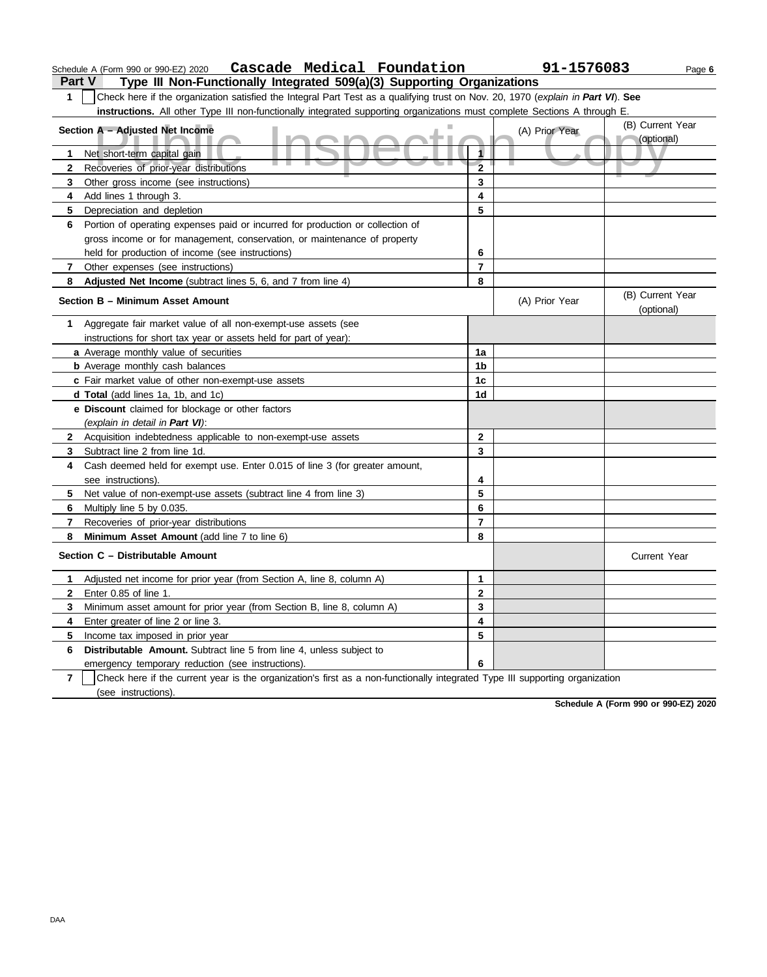| 1              | Check here if the organization satisfied the Integral Part Test as a qualifying trust on Nov. 20, 1970 (explain in Part VI). See |                         |                |                                |  |  |  |  |
|----------------|----------------------------------------------------------------------------------------------------------------------------------|-------------------------|----------------|--------------------------------|--|--|--|--|
|                | instructions. All other Type III non-functionally integrated supporting organizations must complete Sections A through E.        |                         |                |                                |  |  |  |  |
|                | Section A - Adjusted Net Income                                                                                                  |                         | (A) Prior Year | (B) Current Year<br>(optional) |  |  |  |  |
| 1              | Net short-term capital gain                                                                                                      | 1                       |                |                                |  |  |  |  |
| $\mathbf{2}$   | Recoveries of prior-year distributions                                                                                           | $\overline{2}$          |                |                                |  |  |  |  |
| 3              | Other gross income (see instructions)                                                                                            | 3                       |                |                                |  |  |  |  |
| 4              | Add lines 1 through 3.                                                                                                           | $\overline{\mathbf{4}}$ |                |                                |  |  |  |  |
| 5              | Depreciation and depletion                                                                                                       | 5                       |                |                                |  |  |  |  |
| 6              | Portion of operating expenses paid or incurred for production or collection of                                                   |                         |                |                                |  |  |  |  |
|                | gross income or for management, conservation, or maintenance of property                                                         |                         |                |                                |  |  |  |  |
|                | held for production of income (see instructions)                                                                                 | 6                       |                |                                |  |  |  |  |
| $\mathbf{7}$   | Other expenses (see instructions)                                                                                                | $\overline{7}$          |                |                                |  |  |  |  |
| 8              | Adjusted Net Income (subtract lines 5, 6, and 7 from line 4)                                                                     | 8                       |                |                                |  |  |  |  |
|                | Section B - Minimum Asset Amount                                                                                                 |                         | (A) Prior Year | (B) Current Year<br>(optional) |  |  |  |  |
| 1              | Aggregate fair market value of all non-exempt-use assets (see                                                                    |                         |                |                                |  |  |  |  |
|                | instructions for short tax year or assets held for part of year):                                                                |                         |                |                                |  |  |  |  |
|                | a Average monthly value of securities                                                                                            | 1a                      |                |                                |  |  |  |  |
|                | <b>b</b> Average monthly cash balances                                                                                           | 1 <sub>b</sub>          |                |                                |  |  |  |  |
|                | c Fair market value of other non-exempt-use assets                                                                               | 1c                      |                |                                |  |  |  |  |
|                | <b>d Total</b> (add lines 1a, 1b, and 1c)                                                                                        | 1 <sub>d</sub>          |                |                                |  |  |  |  |
|                | e Discount claimed for blockage or other factors                                                                                 |                         |                |                                |  |  |  |  |
|                | (explain in detail in Part VI):                                                                                                  |                         |                |                                |  |  |  |  |
|                | 2 Acquisition indebtedness applicable to non-exempt-use assets                                                                   | $\overline{2}$          |                |                                |  |  |  |  |
| 3              | Subtract line 2 from line 1d.                                                                                                    | 3                       |                |                                |  |  |  |  |
| 4              | Cash deemed held for exempt use. Enter 0.015 of line 3 (for greater amount,                                                      |                         |                |                                |  |  |  |  |
|                | see instructions).                                                                                                               | 4                       |                |                                |  |  |  |  |
| 5              | Net value of non-exempt-use assets (subtract line 4 from line 3)                                                                 | 5                       |                |                                |  |  |  |  |
| 6              | Multiply line 5 by 0.035.                                                                                                        | 6                       |                |                                |  |  |  |  |
| 7              | Recoveries of prior-year distributions                                                                                           | $\overline{7}$          |                |                                |  |  |  |  |
| 8              | Minimum Asset Amount (add line 7 to line 6)                                                                                      | 8                       |                |                                |  |  |  |  |
|                | Section C - Distributable Amount                                                                                                 |                         |                | <b>Current Year</b>            |  |  |  |  |
| 1              | Adjusted net income for prior year (from Section A, line 8, column A)                                                            | $\mathbf{1}$            |                |                                |  |  |  |  |
| $\mathbf{2}$   | Enter 0.85 of line 1.                                                                                                            | $\bf 2$                 |                |                                |  |  |  |  |
| 3              | Minimum asset amount for prior year (from Section B, line 8, column A)                                                           | 3                       |                |                                |  |  |  |  |
| 4              | Enter greater of line 2 or line 3.                                                                                               | 4                       |                |                                |  |  |  |  |
| 5              | Income tax imposed in prior year                                                                                                 | 5                       |                |                                |  |  |  |  |
| 6              | <b>Distributable Amount.</b> Subtract line 5 from line 4, unless subject to                                                      |                         |                |                                |  |  |  |  |
|                | emergency temporary reduction (see instructions).                                                                                | 6                       |                |                                |  |  |  |  |
| $\overline{7}$ | Check here if the current year is the organization's first as a non-functionally integrated Type III supporting organization     |                         |                |                                |  |  |  |  |
|                | (see instructions).                                                                                                              |                         |                |                                |  |  |  |  |

**Schedule A (Form 990 or 990-EZ) 2020**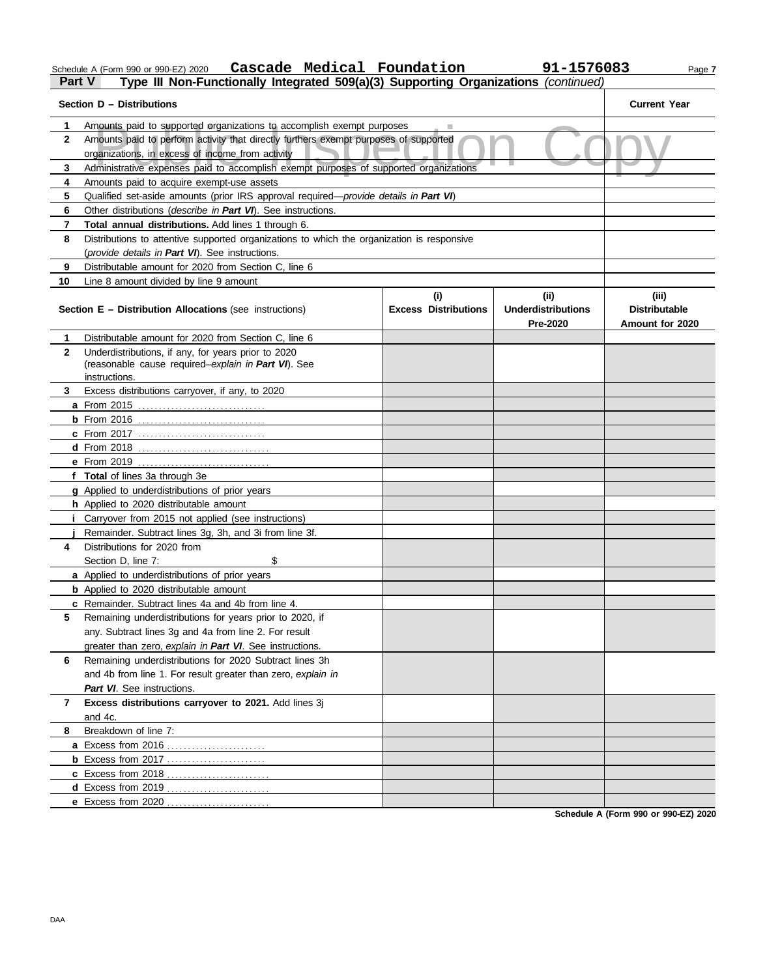Schedule A (Form 990 or 990-EZ) 2020 Page **7 Cascade Medical Foundation 91-1576083**

# **Part V Type III Non-Functionally Integrated 509(a)(3) Supporting Organizations** *(continued)*

|              | Section D - Distributions                                                                     |                             |                           | <b>Current Year</b>  |
|--------------|-----------------------------------------------------------------------------------------------|-----------------------------|---------------------------|----------------------|
| 1            | Amounts paid to supported organizations to accomplish exempt purposes                         |                             |                           |                      |
| $\mathbf{2}$ | Amounts paid to perform activity that directly furthers exempt purposes of supported          |                             |                           |                      |
|              | organizations, in excess of income from activity                                              |                             |                           |                      |
| 3            | Administrative expenses paid to accomplish exempt purposes of supported organizations         |                             |                           |                      |
| 4            | Amounts paid to acquire exempt-use assets                                                     |                             |                           |                      |
| 5            | Qualified set-aside amounts (prior IRS approval required— <i>provide details in Part VI</i> ) |                             |                           |                      |
| 6            | Other distributions ( <i>describe in Part VI</i> ). See instructions.                         |                             |                           |                      |
| 7            | Total annual distributions. Add lines 1 through 6.                                            |                             |                           |                      |
| 8            | Distributions to attentive supported organizations to which the organization is responsive    |                             |                           |                      |
|              | (provide details in Part VI). See instructions.                                               |                             |                           |                      |
| 9            | Distributable amount for 2020 from Section C, line 6                                          |                             |                           |                      |
| 10           | Line 8 amount divided by line 9 amount                                                        |                             |                           |                      |
|              |                                                                                               | (i)                         | (ii)                      | (iii)                |
|              | <b>Section E - Distribution Allocations (see instructions)</b>                                | <b>Excess Distributions</b> | <b>Underdistributions</b> | <b>Distributable</b> |
|              |                                                                                               |                             | Pre-2020                  | Amount for 2020      |
| 1            | Distributable amount for 2020 from Section C, line 6                                          |                             |                           |                      |
| $\mathbf{2}$ | Underdistributions, if any, for years prior to 2020                                           |                             |                           |                      |
|              | (reasonable cause required-explain in Part VI). See                                           |                             |                           |                      |
|              | instructions.                                                                                 |                             |                           |                      |
| 3.           | Excess distributions carryover, if any, to 2020                                               |                             |                           |                      |
|              | a From 2015                                                                                   |                             |                           |                      |
|              |                                                                                               |                             |                           |                      |
|              | <b>c</b> From 2017                                                                            |                             |                           |                      |
|              |                                                                                               |                             |                           |                      |
|              | e From 2019                                                                                   |                             |                           |                      |
|              | f Total of lines 3a through 3e                                                                |                             |                           |                      |
|              | g Applied to underdistributions of prior years                                                |                             |                           |                      |
|              | h Applied to 2020 distributable amount                                                        |                             |                           |                      |
|              | Carryover from 2015 not applied (see instructions)                                            |                             |                           |                      |
|              | Remainder. Subtract lines 3g, 3h, and 3i from line 3f.                                        |                             |                           |                      |
| 4            | Distributions for 2020 from                                                                   |                             |                           |                      |
|              | \$<br>Section D, line 7:                                                                      |                             |                           |                      |
|              | a Applied to underdistributions of prior years                                                |                             |                           |                      |
|              | <b>b</b> Applied to 2020 distributable amount                                                 |                             |                           |                      |
|              | c Remainder. Subtract lines 4a and 4b from line 4.                                            |                             |                           |                      |
| 5            | Remaining underdistributions for years prior to 2020, if                                      |                             |                           |                      |
|              | any. Subtract lines 3g and 4a from line 2. For result                                         |                             |                           |                      |
|              | greater than zero, explain in Part VI. See instructions.                                      |                             |                           |                      |
| 6            | Remaining underdistributions for 2020 Subtract lines 3h                                       |                             |                           |                      |
|              | and 4b from line 1. For result greater than zero, explain in                                  |                             |                           |                      |
|              | Part VI. See instructions.                                                                    |                             |                           |                      |
| 7            | Excess distributions carryover to 2021. Add lines 3j                                          |                             |                           |                      |
|              | and 4c.                                                                                       |                             |                           |                      |
| 8            | Breakdown of line 7:                                                                          |                             |                           |                      |
|              |                                                                                               |                             |                           |                      |
|              |                                                                                               |                             |                           |                      |
|              | c Excess from 2018                                                                            |                             |                           |                      |
|              | d Excess from 2019                                                                            |                             |                           |                      |
|              | e Excess from 2020                                                                            |                             |                           |                      |

**Schedule A (Form 990 or 990-EZ) 2020**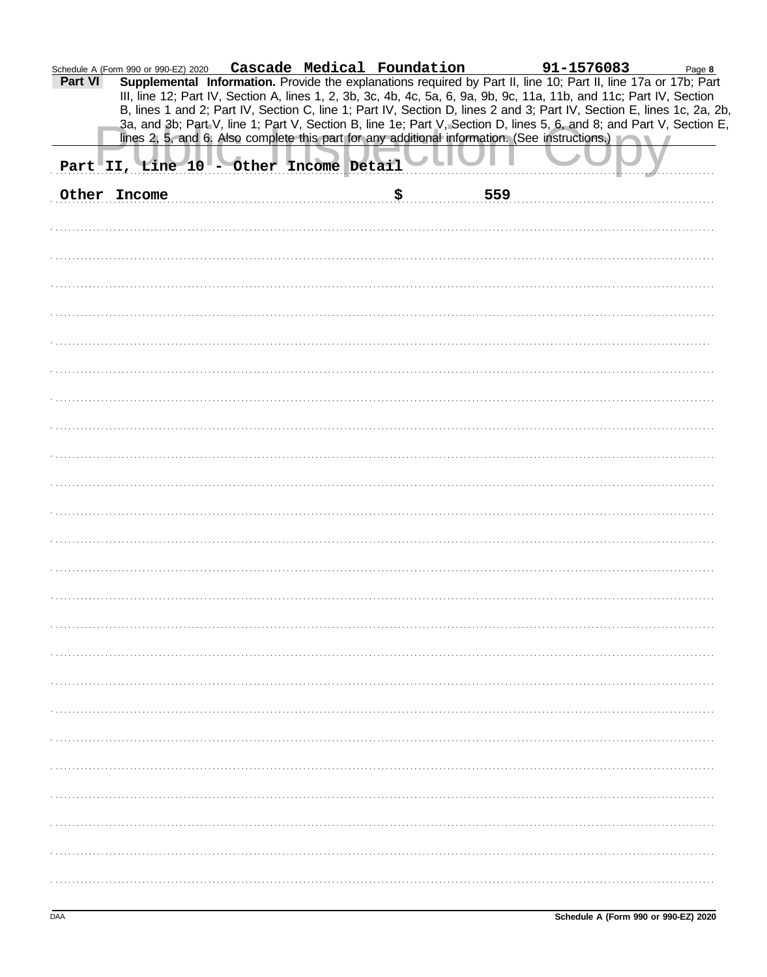|         | Schedule A (Form 990 or 990-EZ) 2020 |                                        |    |     |                                                                                                                                                                                                                                                                                                                                                                                                                                         |  |
|---------|--------------------------------------|----------------------------------------|----|-----|-----------------------------------------------------------------------------------------------------------------------------------------------------------------------------------------------------------------------------------------------------------------------------------------------------------------------------------------------------------------------------------------------------------------------------------------|--|
| Part VI |                                      |                                        |    |     | m 990 or 990-EZ) 2020 Cascade Medical Foundation 91-1576083 Page 8<br>Supplemental Information. Provide the explanations required by Part II, line 10; Part II, line 17a or 17b; Part<br>III, line 12; Part IV, Section A, lines 1, 2, 3b, 3c, 4b, 4c, 5a, 6, 9a, 9b, 9c, 11a, 11b, and 11c; Part IV, Section<br>B, lines 1 and 2; Part IV, Section C, line 1; Part IV, Section D, lines 2 and 3; Part IV, Section E, lines 1c, 2a, 2b, |  |
|         |                                      |                                        |    |     | 3a, and 3b; Part V, line 1; Part V, Section B, line 1e; Part V, Section D, lines 5, 6, and 8; and Part V, Section E,<br>lines 2, 5, and 6. Also complete this part for any additional information. (See instructions.)                                                                                                                                                                                                                  |  |
|         |                                      | Part II, Line 10 - Other Income Detail |    |     |                                                                                                                                                                                                                                                                                                                                                                                                                                         |  |
|         | Other Income                         |                                        | \$ | 559 |                                                                                                                                                                                                                                                                                                                                                                                                                                         |  |
|         |                                      |                                        |    |     |                                                                                                                                                                                                                                                                                                                                                                                                                                         |  |
|         |                                      |                                        |    |     |                                                                                                                                                                                                                                                                                                                                                                                                                                         |  |
|         |                                      |                                        |    |     |                                                                                                                                                                                                                                                                                                                                                                                                                                         |  |
|         |                                      |                                        |    |     |                                                                                                                                                                                                                                                                                                                                                                                                                                         |  |
|         |                                      |                                        |    |     |                                                                                                                                                                                                                                                                                                                                                                                                                                         |  |
|         |                                      |                                        |    |     |                                                                                                                                                                                                                                                                                                                                                                                                                                         |  |
|         |                                      |                                        |    |     |                                                                                                                                                                                                                                                                                                                                                                                                                                         |  |
|         |                                      |                                        |    |     |                                                                                                                                                                                                                                                                                                                                                                                                                                         |  |
|         |                                      |                                        |    |     |                                                                                                                                                                                                                                                                                                                                                                                                                                         |  |
|         |                                      |                                        |    |     |                                                                                                                                                                                                                                                                                                                                                                                                                                         |  |
|         |                                      |                                        |    |     |                                                                                                                                                                                                                                                                                                                                                                                                                                         |  |
|         |                                      |                                        |    |     |                                                                                                                                                                                                                                                                                                                                                                                                                                         |  |
|         |                                      |                                        |    |     |                                                                                                                                                                                                                                                                                                                                                                                                                                         |  |
|         |                                      |                                        |    |     |                                                                                                                                                                                                                                                                                                                                                                                                                                         |  |
|         |                                      |                                        |    |     |                                                                                                                                                                                                                                                                                                                                                                                                                                         |  |
|         |                                      |                                        |    |     |                                                                                                                                                                                                                                                                                                                                                                                                                                         |  |
|         |                                      |                                        |    |     |                                                                                                                                                                                                                                                                                                                                                                                                                                         |  |
|         |                                      |                                        |    |     |                                                                                                                                                                                                                                                                                                                                                                                                                                         |  |
|         |                                      |                                        |    |     |                                                                                                                                                                                                                                                                                                                                                                                                                                         |  |
|         |                                      |                                        |    |     |                                                                                                                                                                                                                                                                                                                                                                                                                                         |  |
|         |                                      |                                        |    |     |                                                                                                                                                                                                                                                                                                                                                                                                                                         |  |
|         |                                      |                                        |    |     |                                                                                                                                                                                                                                                                                                                                                                                                                                         |  |
|         |                                      |                                        |    |     |                                                                                                                                                                                                                                                                                                                                                                                                                                         |  |
|         |                                      |                                        |    |     |                                                                                                                                                                                                                                                                                                                                                                                                                                         |  |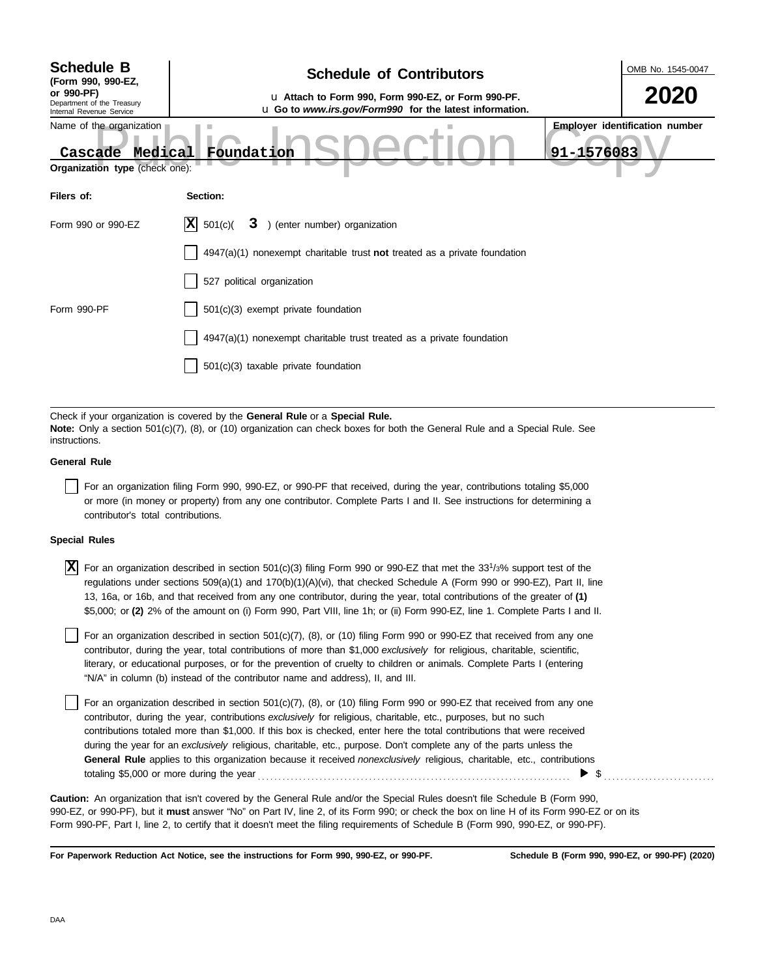| <b>Schedule B</b><br>(Form 990, 990-EZ,<br>or 990-PF)<br>Department of the Treasury<br>Internal Revenue Service | <b>Schedule of Contributors</b><br>u Attach to Form 990, Form 990-EZ, or Form 990-PF.<br>u Go to www.irs.gov/Form990 for the latest information.                                                            | OMB No. 1545-0047<br>2020                           |
|-----------------------------------------------------------------------------------------------------------------|-------------------------------------------------------------------------------------------------------------------------------------------------------------------------------------------------------------|-----------------------------------------------------|
| Name of the organization<br>Medical<br>Cascade<br>Organization type (check one):                                | Foundation                                                                                                                                                                                                  | <b>Employer identification number</b><br>91-1576083 |
| Filers of:                                                                                                      | Section:                                                                                                                                                                                                    |                                                     |
| Form 990 or 990-EZ                                                                                              | X <br>3 ) (enter number) organization<br>501(c)                                                                                                                                                             |                                                     |
|                                                                                                                 | $4947(a)(1)$ nonexempt charitable trust not treated as a private foundation                                                                                                                                 |                                                     |
|                                                                                                                 | 527 political organization                                                                                                                                                                                  |                                                     |
| Form 990-PF                                                                                                     | 501(c)(3) exempt private foundation                                                                                                                                                                         |                                                     |
|                                                                                                                 | 4947(a)(1) nonexempt charitable trust treated as a private foundation                                                                                                                                       |                                                     |
|                                                                                                                 | 501(c)(3) taxable private foundation                                                                                                                                                                        |                                                     |
|                                                                                                                 |                                                                                                                                                                                                             |                                                     |
| instructions.                                                                                                   | Check if your organization is covered by the General Rule or a Special Rule.<br>Note: Only a section 501(c)(7), (8), or (10) organization can check boxes for both the General Rule and a Special Rule. See |                                                     |

## **General Rule**

For an organization filing Form 990, 990-EZ, or 990-PF that received, during the year, contributions totaling \$5,000 or more (in money or property) from any one contributor. Complete Parts I and II. See instructions for determining a contributor's total contributions.

## **Special Rules**

 $\overline{X}$  For an organization described in section 501(c)(3) filing Form 990 or 990-EZ that met the 33<sup>1</sup>/3% support test of the regulations under sections 509(a)(1) and 170(b)(1)(A)(vi), that checked Schedule A (Form 990 or 990-EZ), Part II, line 13, 16a, or 16b, and that received from any one contributor, during the year, total contributions of the greater of **(1)** \$5,000; or **(2)** 2% of the amount on (i) Form 990, Part VIII, line 1h; or (ii) Form 990-EZ, line 1. Complete Parts I and II.

literary, or educational purposes, or for the prevention of cruelty to children or animals. Complete Parts I (entering For an organization described in section 501(c)(7), (8), or (10) filing Form 990 or 990-EZ that received from any one contributor, during the year, total contributions of more than \$1,000 *exclusively* for religious, charitable, scientific, "N/A" in column (b) instead of the contributor name and address), II, and III.

For an organization described in section 501(c)(7), (8), or (10) filing Form 990 or 990-EZ that received from any one contributor, during the year, contributions *exclusively* for religious, charitable, etc., purposes, but no such contributions totaled more than \$1,000. If this box is checked, enter here the total contributions that were received during the year for an *exclusively* religious, charitable, etc., purpose. Don't complete any of the parts unless the **General Rule** applies to this organization because it received *nonexclusively* religious, charitable, etc., contributions totaling \$5,000 or more during the year . . . . . . . . . . . . . . . . . . . . . . . . . . . . . . . . . . . . . . . . . . . . . . . . . . . . . . . . . . . . . . . . . . . . . . . . . . . .  $\blacktriangleright$   $\$\,$ 

990-EZ, or 990-PF), but it **must** answer "No" on Part IV, line 2, of its Form 990; or check the box on line H of its Form 990-EZ or on its Form 990-PF, Part I, line 2, to certify that it doesn't meet the filing requirements of Schedule B (Form 990, 990-EZ, or 990-PF). **Caution:** An organization that isn't covered by the General Rule and/or the Special Rules doesn't file Schedule B (Form 990,

**For Paperwork Reduction Act Notice, see the instructions for Form 990, 990-EZ, or 990-PF.**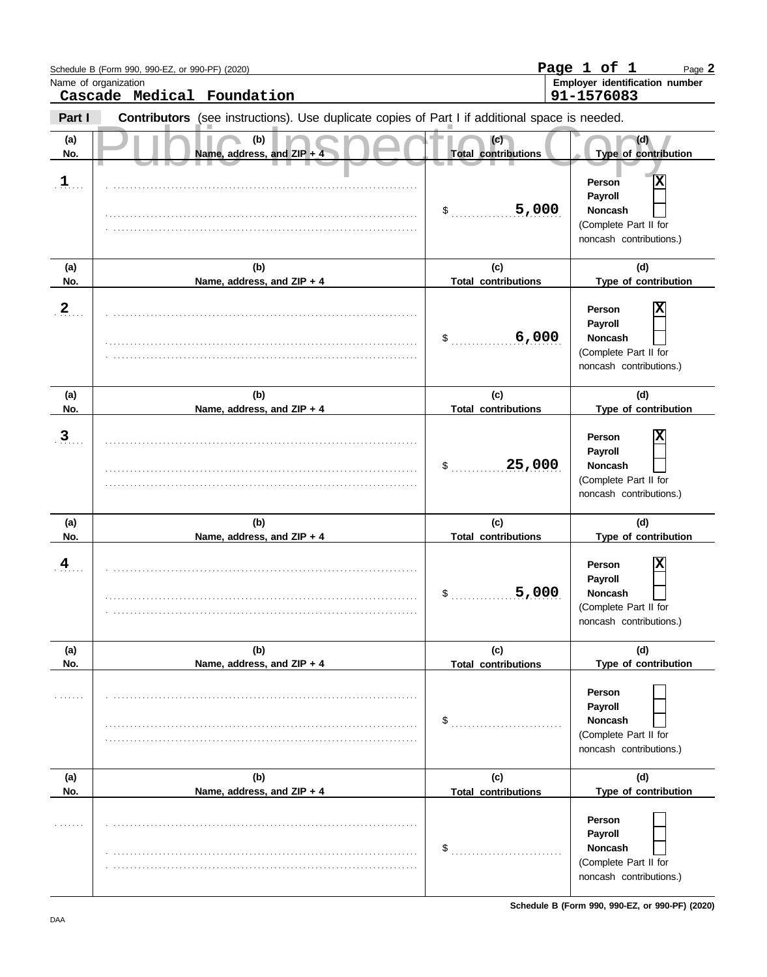|              | Schedule B (Form 990, 990-EZ, or 990-PF) (2020)                                                |                                   | Page 1 of 1<br>Page 2                                                                        |
|--------------|------------------------------------------------------------------------------------------------|-----------------------------------|----------------------------------------------------------------------------------------------|
|              | Name of organization<br>Cascade Medical Foundation                                             |                                   | Employer identification number<br>91-1576083                                                 |
| Part I       | Contributors (see instructions). Use duplicate copies of Part I if additional space is needed. |                                   |                                                                                              |
| (a)<br>No.   | (b)<br>Name, address, and ZIP +                                                                | (c)<br><b>Total contributions</b> | (d)<br>Type of contribution                                                                  |
| $1$ .        |                                                                                                | 5,000<br>\$                       | X<br>Person<br>Payroll<br><b>Noncash</b><br>(Complete Part II for<br>noncash contributions.) |
| (a)<br>No.   | (b)<br>Name, address, and ZIP + 4                                                              | (c)<br><b>Total contributions</b> | (d)<br>Type of contribution                                                                  |
| $2_{\ldots}$ |                                                                                                | 6,000<br>\$                       | Person<br>Payroll<br><b>Noncash</b><br>(Complete Part II for<br>noncash contributions.)      |
| (a)<br>No.   | (b)<br>Name, address, and ZIP + 4                                                              | (c)<br><b>Total contributions</b> | (d)<br>Type of contribution                                                                  |
| $\mathbf{3}$ |                                                                                                | 25,000<br>\$                      | Person<br>Payroll<br><b>Noncash</b><br>(Complete Part II for<br>noncash contributions.)      |
| (a)<br>No.   | (b)<br>Name, address, and ZIP + 4                                                              | (c)<br><b>Total contributions</b> | (d)<br>Type of contribution                                                                  |
| 4            |                                                                                                | 5,000<br>$\mathsf{\$}$            | Person<br>Payroll<br><b>Noncash</b><br>(Complete Part II for<br>noncash contributions.)      |
| (a)<br>No.   | (b)<br>Name, address, and ZIP + 4                                                              | (c)<br><b>Total contributions</b> | (d)<br>Type of contribution                                                                  |
| .            |                                                                                                | \$                                | Person<br>Payroll<br><b>Noncash</b><br>(Complete Part II for<br>noncash contributions.)      |
| (a)<br>No.   | (b)<br>Name, address, and ZIP + 4                                                              | (c)<br><b>Total contributions</b> | (d)<br>Type of contribution                                                                  |
|              |                                                                                                | \$                                | Person<br>Payroll<br><b>Noncash</b><br>(Complete Part II for<br>noncash contributions.)      |

**Schedule B (Form 990, 990-EZ, or 990-PF) (2020)**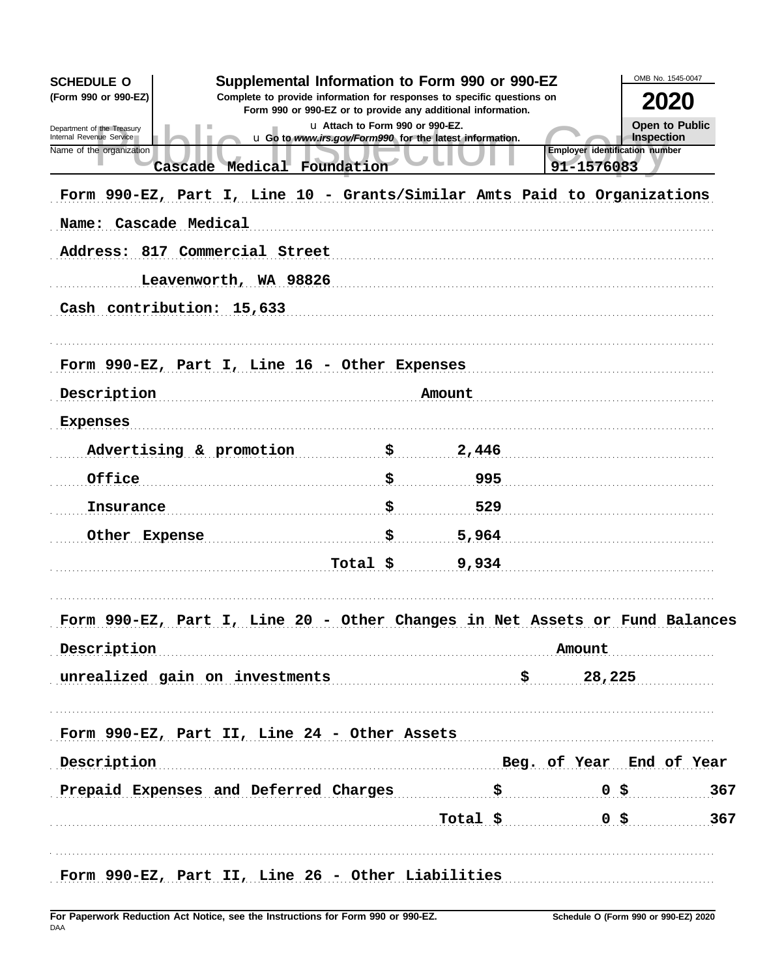| <b>SCHEDULE O</b>                                                           | Supplemental Information to Form 990 or 990-EZ                                                  |       |                                       | OMB No. 1545-0047     |
|-----------------------------------------------------------------------------|-------------------------------------------------------------------------------------------------|-------|---------------------------------------|-----------------------|
| (Form 990 or 990-EZ)                                                        | Complete to provide information for responses to specific questions on                          |       |                                       | <b>2020</b>           |
| Department of the Treasury                                                  | Form 990 or 990-EZ or to provide any additional information.<br>u Attach to Form 990 or 990-EZ. |       |                                       | <b>Open to Public</b> |
| Internal Revenue Service<br>Name of the organization                        | u Go to www.irs.gov/Form990 for the latest information.                                         |       | <b>Employer identification number</b> | Inspection            |
| Cascade Medical Foundation                                                  |                                                                                                 |       | 91-1576083                            |                       |
| Form 990-EZ, Part I, Line 10 - Grants/Similar Amts Paid to Organizations    |                                                                                                 |       |                                       |                       |
| Name: Cascade Medical                                                       |                                                                                                 |       |                                       |                       |
| Address: 817 Commercial Street                                              |                                                                                                 |       |                                       |                       |
| Leavenworth, WA 98826                                                       |                                                                                                 |       |                                       |                       |
| Cash contribution: 15,633                                                   |                                                                                                 |       |                                       |                       |
|                                                                             |                                                                                                 |       |                                       |                       |
|                                                                             |                                                                                                 |       |                                       |                       |
| Form 990-EZ, Part I, Line 16 - Other Expenses                               |                                                                                                 |       |                                       |                       |
| Description                                                                 | Amount                                                                                          |       |                                       |                       |
| Expenses                                                                    |                                                                                                 |       |                                       |                       |
| Advertising & promotion                                                     | \$                                                                                              | 2,446 |                                       |                       |
| Office                                                                      | \$                                                                                              | 995   |                                       |                       |
| Insurance                                                                   | \$.                                                                                             | 529   |                                       |                       |
| Other Expense                                                               | \$                                                                                              | 5,964 |                                       |                       |
|                                                                             | Total \$                                                                                        | 9,934 |                                       |                       |
|                                                                             |                                                                                                 |       |                                       |                       |
|                                                                             |                                                                                                 |       |                                       |                       |
| Form 990-EZ, Part I, Line 20 - Other Changes in Net Assets or Fund Balances |                                                                                                 |       |                                       |                       |
| Description Amount                                                          |                                                                                                 |       |                                       |                       |
| unrealized gain on investments $$$ 28,225                                   |                                                                                                 |       |                                       |                       |
|                                                                             |                                                                                                 |       |                                       |                       |
| Form 990-EZ, Part II, Line 24 - Other Assets                                |                                                                                                 |       |                                       |                       |
| Description Description Deg. of Year End of Year                            |                                                                                                 |       |                                       |                       |
| Prepaid Expenses and Deferred Charges 5 5 0 5 0 5 367                       |                                                                                                 |       |                                       |                       |
|                                                                             |                                                                                                 |       |                                       |                       |
|                                                                             |                                                                                                 |       |                                       |                       |
|                                                                             |                                                                                                 |       |                                       |                       |
| Form 990-EZ, Part II, Line 26 - Other Liabilities                           |                                                                                                 |       |                                       |                       |